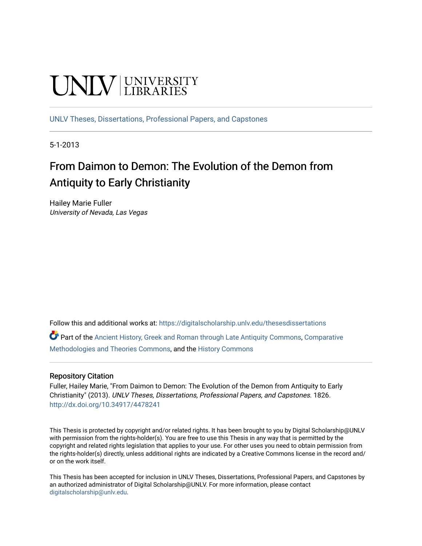# **UNIVERSITY**

[UNLV Theses, Dissertations, Professional Papers, and Capstones](https://digitalscholarship.unlv.edu/thesesdissertations)

5-1-2013

## From Daimon to Demon: The Evolution of the Demon from Antiquity to Early Christianity

Hailey Marie Fuller University of Nevada, Las Vegas

Follow this and additional works at: [https://digitalscholarship.unlv.edu/thesesdissertations](https://digitalscholarship.unlv.edu/thesesdissertations?utm_source=digitalscholarship.unlv.edu%2Fthesesdissertations%2F1826&utm_medium=PDF&utm_campaign=PDFCoverPages)

Part of the [Ancient History, Greek and Roman through Late Antiquity Commons](http://network.bepress.com/hgg/discipline/447?utm_source=digitalscholarship.unlv.edu%2Fthesesdissertations%2F1826&utm_medium=PDF&utm_campaign=PDFCoverPages), [Comparative](http://network.bepress.com/hgg/discipline/540?utm_source=digitalscholarship.unlv.edu%2Fthesesdissertations%2F1826&utm_medium=PDF&utm_campaign=PDFCoverPages) [Methodologies and Theories Commons](http://network.bepress.com/hgg/discipline/540?utm_source=digitalscholarship.unlv.edu%2Fthesesdissertations%2F1826&utm_medium=PDF&utm_campaign=PDFCoverPages), and the [History Commons](http://network.bepress.com/hgg/discipline/489?utm_source=digitalscholarship.unlv.edu%2Fthesesdissertations%2F1826&utm_medium=PDF&utm_campaign=PDFCoverPages) 

## Repository Citation

Fuller, Hailey Marie, "From Daimon to Demon: The Evolution of the Demon from Antiquity to Early Christianity" (2013). UNLV Theses, Dissertations, Professional Papers, and Capstones. 1826. <http://dx.doi.org/10.34917/4478241>

This Thesis is protected by copyright and/or related rights. It has been brought to you by Digital Scholarship@UNLV with permission from the rights-holder(s). You are free to use this Thesis in any way that is permitted by the copyright and related rights legislation that applies to your use. For other uses you need to obtain permission from the rights-holder(s) directly, unless additional rights are indicated by a Creative Commons license in the record and/ or on the work itself.

This Thesis has been accepted for inclusion in UNLV Theses, Dissertations, Professional Papers, and Capstones by an authorized administrator of Digital Scholarship@UNLV. For more information, please contact [digitalscholarship@unlv.edu](mailto:digitalscholarship@unlv.edu).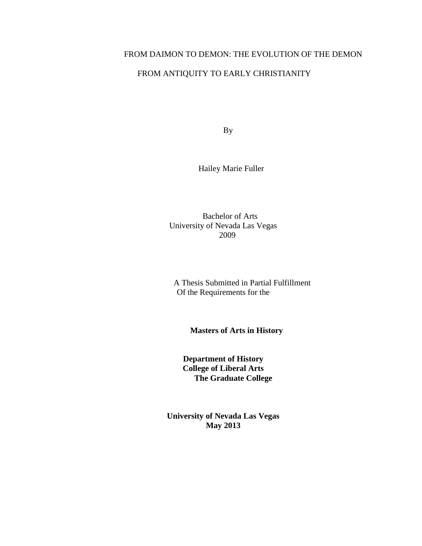## FROM DAIMON TO DEMON: THE EVOLUTION OF THE DEMON

## FROM ANTIQUITY TO EARLY CHRISTIANITY

By

Hailey Marie Fuller

 Bachelor of Arts University of Nevada Las Vegas 2009

A Thesis Submitted in Partial Fulfillment Of the Requirements for the

 **Masters of Arts in History**

**Department of History College of Liberal Arts The Graduate College**

**University of Nevada Las Vegas May 2013**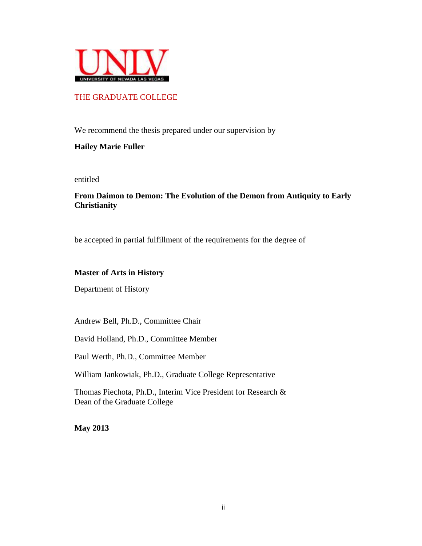

## THE GRADUATE COLLEGE

We recommend the thesis prepared under our supervision by

## **Hailey Marie Fuller**

entitled

## **From Daimon to Demon: The Evolution of the Demon from Antiquity to Early Christianity**

be accepted in partial fulfillment of the requirements for the degree of

## **Master of Arts in History**

Department of History

Andrew Bell, Ph.D., Committee Chair

David Holland, Ph.D., Committee Member

Paul Werth, Ph.D., Committee Member

William Jankowiak, Ph.D., Graduate College Representative

Thomas Piechota, Ph.D., Interim Vice President for Research & Dean of the Graduate College

**May 2013**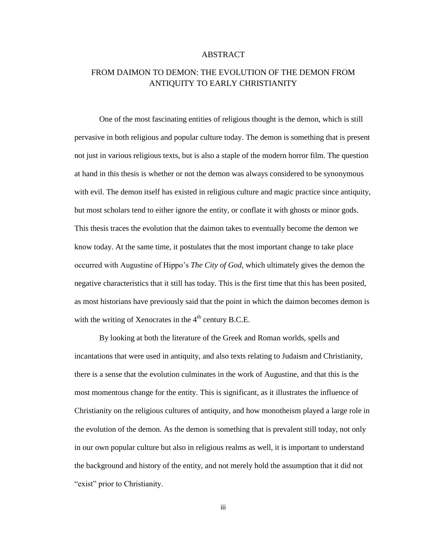#### ABSTRACT

## FROM DAIMON TO DEMON: THE EVOLUTION OF THE DEMON FROM ANTIQUITY TO EARLY CHRISTIANITY

One of the most fascinating entities of religious thought is the demon, which is still pervasive in both religious and popular culture today. The demon is something that is present not just in various religious texts, but is also a staple of the modern horror film. The question at hand in this thesis is whether or not the demon was always considered to be synonymous with evil. The demon itself has existed in religious culture and magic practice since antiquity, but most scholars tend to either ignore the entity, or conflate it with ghosts or minor gods. This thesis traces the evolution that the daimon takes to eventually become the demon we know today. At the same time, it postulates that the most important change to take place occurred with Augustine of Hippo's *The City of God*, which ultimately gives the demon the negative characteristics that it still has today. This is the first time that this has been posited, as most historians have previously said that the point in which the daimon becomes demon is with the writing of Xenocrates in the  $4<sup>th</sup>$  century B.C.E.

By looking at both the literature of the Greek and Roman worlds, spells and incantations that were used in antiquity, and also texts relating to Judaism and Christianity, there is a sense that the evolution culminates in the work of Augustine, and that this is the most momentous change for the entity. This is significant, as it illustrates the influence of Christianity on the religious cultures of antiquity, and how monotheism played a large role in the evolution of the demon. As the demon is something that is prevalent still today, not only in our own popular culture but also in religious realms as well, it is important to understand the background and history of the entity, and not merely hold the assumption that it did not "exist" prior to Christianity.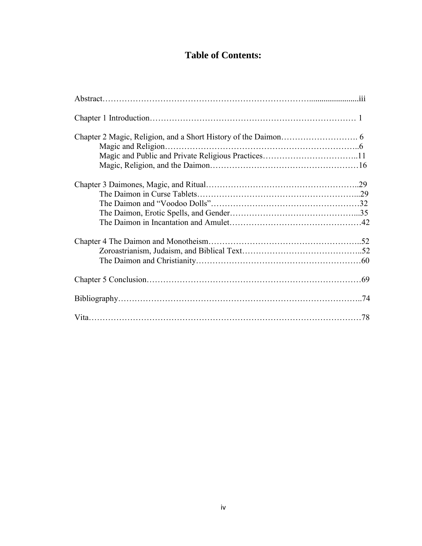## **Table of Contents:**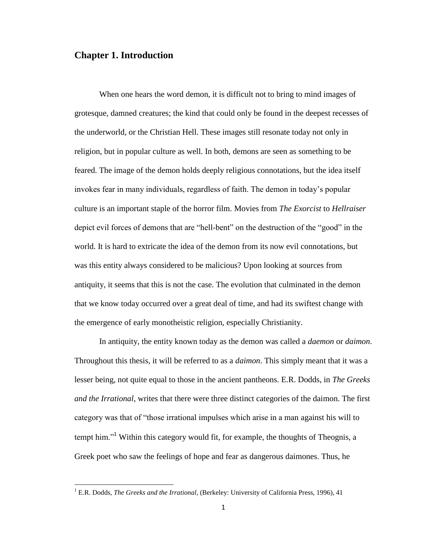### **Chapter 1. Introduction**

 $\overline{\phantom{a}}$ 

When one hears the word demon, it is difficult not to bring to mind images of grotesque, damned creatures; the kind that could only be found in the deepest recesses of the underworld, or the Christian Hell. These images still resonate today not only in religion, but in popular culture as well. In both, demons are seen as something to be feared. The image of the demon holds deeply religious connotations, but the idea itself invokes fear in many individuals, regardless of faith. The demon in today's popular culture is an important staple of the horror film. Movies from *The Exorcist* to *Hellraiser* depict evil forces of demons that are "hell-bent" on the destruction of the "good" in the world. It is hard to extricate the idea of the demon from its now evil connotations, but was this entity always considered to be malicious? Upon looking at sources from antiquity, it seems that this is not the case. The evolution that culminated in the demon that we know today occurred over a great deal of time, and had its swiftest change with the emergence of early monotheistic religion, especially Christianity.

In antiquity, the entity known today as the demon was called a *daemon* or *daimon*. Throughout this thesis, it will be referred to as a *daimon*. This simply meant that it was a lesser being, not quite equal to those in the ancient pantheons. E.R. Dodds, in *The Greeks and the Irrational*, writes that there were three distinct categories of the daimon. The first category was that of "those irrational impulses which arise in a man against his will to tempt him."<sup>1</sup> Within this category would fit, for example, the thoughts of Theognis, a Greek poet who saw the feelings of hope and fear as dangerous daimones. Thus, he

<sup>1</sup> E.R. Dodds, *The Greeks and the Irrational*, (Berkeley: University of California Press, 1996), 41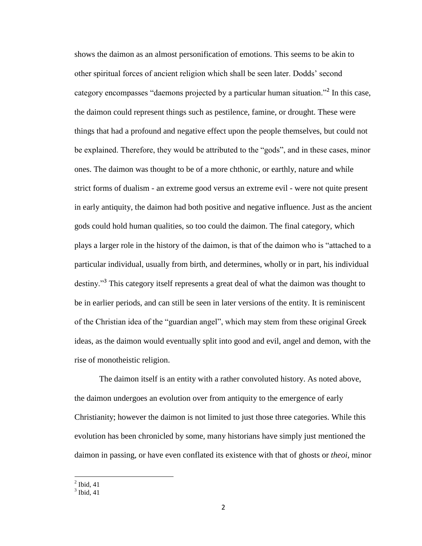shows the daimon as an almost personification of emotions. This seems to be akin to other spiritual forces of ancient religion which shall be seen later. Dodds' second category encompasses "daemons projected by a particular human situation."<sup>2</sup> In this case, the daimon could represent things such as pestilence, famine, or drought. These were things that had a profound and negative effect upon the people themselves, but could not be explained. Therefore, they would be attributed to the "gods", and in these cases, minor ones. The daimon was thought to be of a more chthonic, or earthly, nature and while strict forms of dualism - an extreme good versus an extreme evil - were not quite present in early antiquity, the daimon had both positive and negative influence. Just as the ancient gods could hold human qualities, so too could the daimon. The final category, which plays a larger role in the history of the daimon, is that of the daimon who is "attached to a particular individual, usually from birth, and determines, wholly or in part, his individual destiny."<sup>3</sup> This category itself represents a great deal of what the daimon was thought to be in earlier periods, and can still be seen in later versions of the entity. It is reminiscent of the Christian idea of the "guardian angel", which may stem from these original Greek ideas, as the daimon would eventually split into good and evil, angel and demon, with the rise of monotheistic religion.

The daimon itself is an entity with a rather convoluted history. As noted above, the daimon undergoes an evolution over from antiquity to the emergence of early Christianity; however the daimon is not limited to just those three categories. While this evolution has been chronicled by some, many historians have simply just mentioned the daimon in passing, or have even conflated its existence with that of ghosts or *theoi,* minor

 $\frac{1}{2}$  Ibid, 41

 $3$  Ibid, 41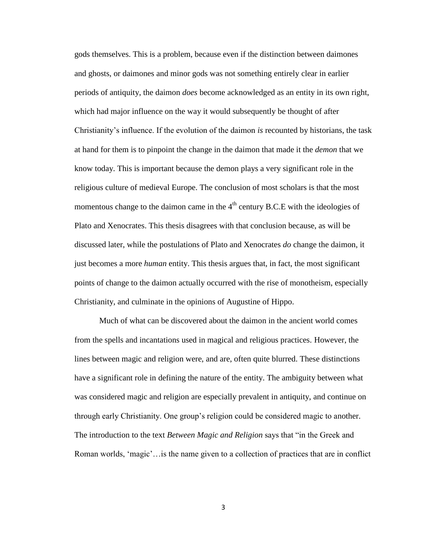gods themselves. This is a problem, because even if the distinction between daimones and ghosts, or daimones and minor gods was not something entirely clear in earlier periods of antiquity, the daimon *does* become acknowledged as an entity in its own right, which had major influence on the way it would subsequently be thought of after Christianity's influence. If the evolution of the daimon *is* recounted by historians, the task at hand for them is to pinpoint the change in the daimon that made it the *demon* that we know today. This is important because the demon plays a very significant role in the religious culture of medieval Europe. The conclusion of most scholars is that the most momentous change to the daimon came in the  $4<sup>th</sup>$  century B.C.E with the ideologies of Plato and Xenocrates. This thesis disagrees with that conclusion because, as will be discussed later, while the postulations of Plato and Xenocrates *do* change the daimon, it just becomes a more *human* entity. This thesis argues that, in fact, the most significant points of change to the daimon actually occurred with the rise of monotheism, especially Christianity, and culminate in the opinions of Augustine of Hippo.

Much of what can be discovered about the daimon in the ancient world comes from the spells and incantations used in magical and religious practices. However, the lines between magic and religion were, and are, often quite blurred. These distinctions have a significant role in defining the nature of the entity. The ambiguity between what was considered magic and religion are especially prevalent in antiquity, and continue on through early Christianity. One group's religion could be considered magic to another. The introduction to the text *Between Magic and Religion* says that "in the Greek and Roman worlds, 'magic'…is the name given to a collection of practices that are in conflict

3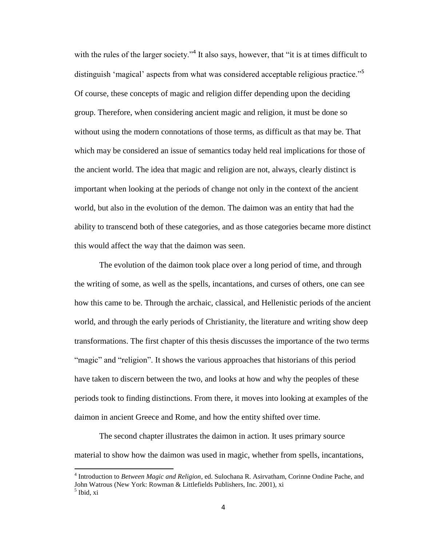with the rules of the larger society."<sup>4</sup> It also says, however, that "it is at times difficult to distinguish 'magical' aspects from what was considered acceptable religious practice."<sup>5</sup> Of course, these concepts of magic and religion differ depending upon the deciding group. Therefore, when considering ancient magic and religion, it must be done so without using the modern connotations of those terms, as difficult as that may be. That which may be considered an issue of semantics today held real implications for those of the ancient world. The idea that magic and religion are not, always, clearly distinct is important when looking at the periods of change not only in the context of the ancient world, but also in the evolution of the demon. The daimon was an entity that had the ability to transcend both of these categories, and as those categories became more distinct this would affect the way that the daimon was seen.

The evolution of the daimon took place over a long period of time, and through the writing of some, as well as the spells, incantations, and curses of others, one can see how this came to be. Through the archaic, classical, and Hellenistic periods of the ancient world, and through the early periods of Christianity, the literature and writing show deep transformations. The first chapter of this thesis discusses the importance of the two terms "magic" and "religion". It shows the various approaches that historians of this period have taken to discern between the two, and looks at how and why the peoples of these periods took to finding distinctions. From there, it moves into looking at examples of the daimon in ancient Greece and Rome, and how the entity shifted over time.

The second chapter illustrates the daimon in action. It uses primary source material to show how the daimon was used in magic, whether from spells, incantations,

<sup>4</sup> Introduction to *Between Magic and Religion*, ed. Sulochana R. Asirvatham, Corinne Ondine Pache, and John Watrous (New York: Rowman & Littlefields Publishers, Inc. 2001), xi

<sup>5</sup> Ibid, xi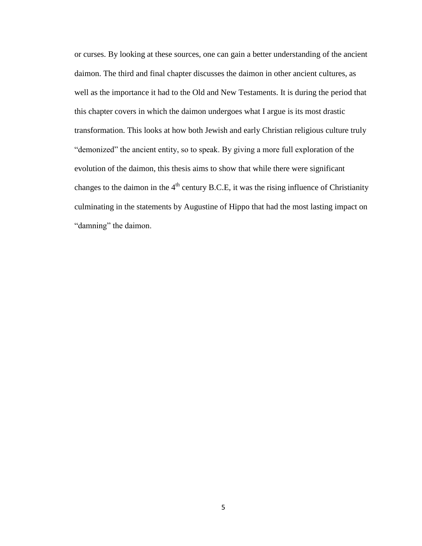or curses. By looking at these sources, one can gain a better understanding of the ancient daimon. The third and final chapter discusses the daimon in other ancient cultures, as well as the importance it had to the Old and New Testaments. It is during the period that this chapter covers in which the daimon undergoes what I argue is its most drastic transformation. This looks at how both Jewish and early Christian religious culture truly "demonized" the ancient entity, so to speak. By giving a more full exploration of the evolution of the daimon, this thesis aims to show that while there were significant changes to the daimon in the  $4<sup>th</sup>$  century B.C.E, it was the rising influence of Christianity culminating in the statements by Augustine of Hippo that had the most lasting impact on "damning" the daimon.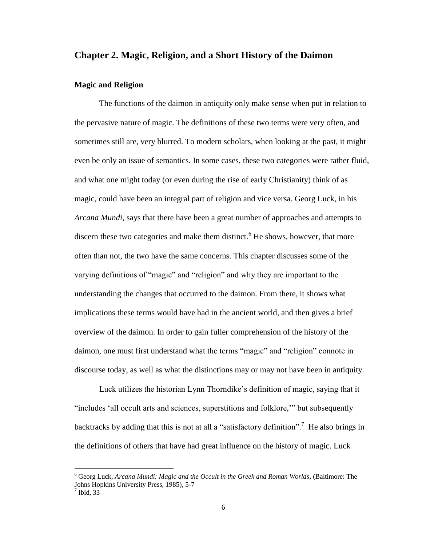### **Chapter 2. Magic, Religion, and a Short History of the Daimon**

#### **Magic and Religion**

The functions of the daimon in antiquity only make sense when put in relation to the pervasive nature of magic. The definitions of these two terms were very often, and sometimes still are, very blurred. To modern scholars, when looking at the past, it might even be only an issue of semantics. In some cases, these two categories were rather fluid, and what one might today (or even during the rise of early Christianity) think of as magic, could have been an integral part of religion and vice versa. Georg Luck, in his *Arcana Mundi*, says that there have been a great number of approaches and attempts to discern these two categories and make them distinct.<sup>6</sup> He shows, however, that more often than not, the two have the same concerns. This chapter discusses some of the varying definitions of "magic" and "religion" and why they are important to the understanding the changes that occurred to the daimon. From there, it shows what implications these terms would have had in the ancient world, and then gives a brief overview of the daimon. In order to gain fuller comprehension of the history of the daimon, one must first understand what the terms "magic" and "religion" connote in discourse today, as well as what the distinctions may or may not have been in antiquity.

Luck utilizes the historian Lynn Thorndike's definition of magic, saying that it "includes 'all occult arts and sciences, superstitions and folklore,'" but subsequently backtracks by adding that this is not at all a "satisfactory definition".<sup>7</sup> He also brings in the definitions of others that have had great influence on the history of magic. Luck

<sup>6</sup> Georg Luck, *Arcana Mundi: Magic and the Occult in the Greek and Roman Worlds,* (Baltimore: The Johns Hopkins University Press, 1985), 5-7

 $<sup>7</sup>$  Ibid, 33</sup>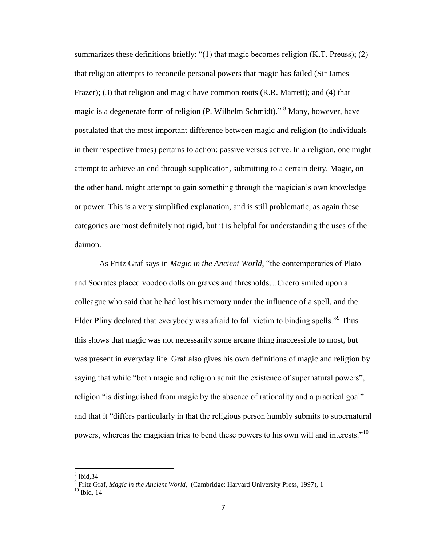summarizes these definitions briefly: "(1) that magic becomes religion (K.T. Preuss); (2) that religion attempts to reconcile personal powers that magic has failed (Sir James Frazer); (3) that religion and magic have common roots (R.R. Marrett); and (4) that magic is a degenerate form of religion (P. Wilhelm Schmidt)."<sup>8</sup> Many, however, have postulated that the most important difference between magic and religion (to individuals in their respective times) pertains to action: passive versus active. In a religion, one might attempt to achieve an end through supplication, submitting to a certain deity. Magic, on the other hand, might attempt to gain something through the magician's own knowledge or power. This is a very simplified explanation, and is still problematic, as again these categories are most definitely not rigid, but it is helpful for understanding the uses of the daimon.

As Fritz Graf says in *Magic in the Ancient World*, "the contemporaries of Plato and Socrates placed voodoo dolls on graves and thresholds…Cicero smiled upon a colleague who said that he had lost his memory under the influence of a spell, and the Elder Pliny declared that everybody was afraid to fall victim to binding spells."<sup>9</sup> Thus this shows that magic was not necessarily some arcane thing inaccessible to most, but was present in everyday life. Graf also gives his own definitions of magic and religion by saying that while "both magic and religion admit the existence of supernatural powers", religion "is distinguished from magic by the absence of rationality and a practical goal" and that it "differs particularly in that the religious person humbly submits to supernatural powers, whereas the magician tries to bend these powers to his own will and interests."<sup>10</sup>

<sup>8</sup> Ibid,34

<sup>&</sup>lt;sup>9</sup> Fritz Graf, *Magic in the Ancient World,* (Cambridge: Harvard University Press, 1997), 1

 $10$  Ibid, 14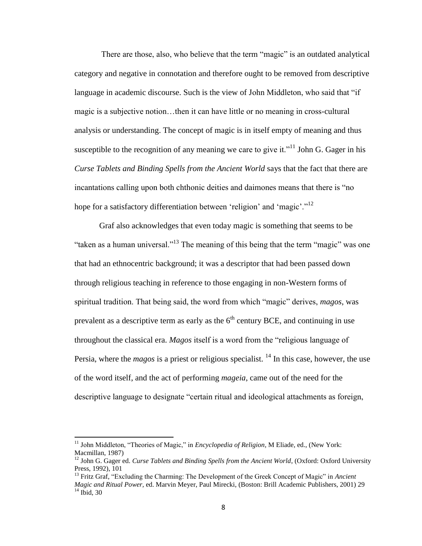There are those, also, who believe that the term "magic" is an outdated analytical category and negative in connotation and therefore ought to be removed from descriptive language in academic discourse. Such is the view of John Middleton, who said that "if magic is a subjective notion…then it can have little or no meaning in cross-cultural analysis or understanding. The concept of magic is in itself empty of meaning and thus susceptible to the recognition of any meaning we care to give it."<sup>11</sup> John G. Gager in his *Curse Tablets and Binding Spells from the Ancient World* says that the fact that there are incantations calling upon both chthonic deities and daimones means that there is "no hope for a satisfactory differentiation between 'religion' and 'magic'."<sup>12</sup>

Graf also acknowledges that even today magic is something that seems to be "taken as a human universal."<sup>13</sup> The meaning of this being that the term "magic" was one that had an ethnocentric background; it was a descriptor that had been passed down through religious teaching in reference to those engaging in non-Western forms of spiritual tradition. That being said, the word from which "magic" derives, *magos*, was prevalent as a descriptive term as early as the  $6<sup>th</sup>$  century BCE, and continuing in use throughout the classical era. *Magos* itself is a word from the "religious language of Persia, where the *magos* is a priest or religious specialist. <sup>14</sup> In this case, however, the use of the word itself, and the act of performing *mageia*, came out of the need for the descriptive language to designate "certain ritual and ideological attachments as foreign,

<sup>11</sup> John Middleton, "Theories of Magic," in *Encyclopedia of Religion,* M Eliade, ed., (New York: Macmillan, 1987)

<sup>&</sup>lt;sup>12</sup> John G. Gager ed. *Curse Tablets and Binding Spells from the Ancient World*, (Oxford: Oxford University Press, 1992), 101

<sup>13</sup> Fritz Graf, "Excluding the Charming: The Development of the Greek Concept of Magic" in *Ancient Magic and Ritual Power,* ed. Marvin Meyer, Paul Mirecki, (Boston: Brill Academic Publishers, 2001) 29  $14$  Ibid, 30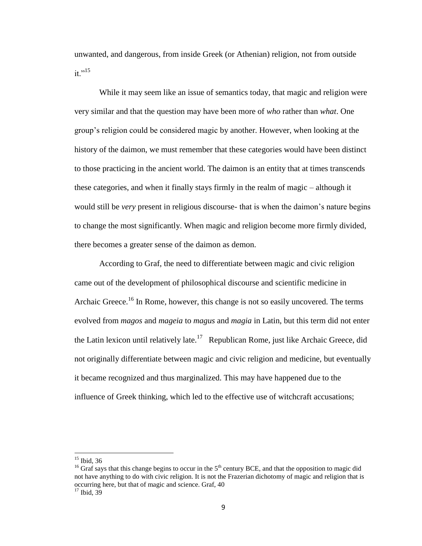unwanted, and dangerous, from inside Greek (or Athenian) religion, not from outside it."<sup>15</sup>

While it may seem like an issue of semantics today, that magic and religion were very similar and that the question may have been more of *who* rather than *what*. One group's religion could be considered magic by another. However, when looking at the history of the daimon, we must remember that these categories would have been distinct to those practicing in the ancient world. The daimon is an entity that at times transcends these categories, and when it finally stays firmly in the realm of magic – although it would still be *very* present in religious discourse- that is when the daimon's nature begins to change the most significantly. When magic and religion become more firmly divided, there becomes a greater sense of the daimon as demon.

According to Graf, the need to differentiate between magic and civic religion came out of the development of philosophical discourse and scientific medicine in Archaic Greece.<sup>16</sup> In Rome, however, this change is not so easily uncovered. The terms evolved from *magos* and *mageia* to *magus* and *magia* in Latin, but this term did not enter the Latin lexicon until relatively late.<sup>17</sup> Republican Rome, just like Archaic Greece, did not originally differentiate between magic and civic religion and medicine, but eventually it became recognized and thus marginalized. This may have happened due to the influence of Greek thinking, which led to the effective use of witchcraft accusations;

 $\overline{a}$ 

9

 $15$  Ibid, 36

<sup>&</sup>lt;sup>16</sup> Graf says that this change begins to occur in the  $5<sup>th</sup>$  century BCE, and that the opposition to magic did not have anything to do with civic religion. It is not the Frazerian dichotomy of magic and religion that is occurring here, but that of magic and science. Graf, 40  $17$  Ibid, 39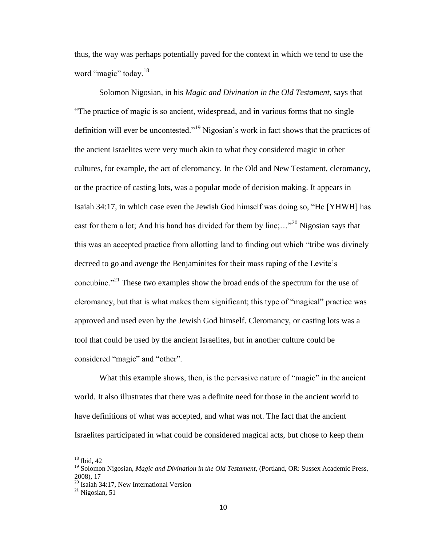thus, the way was perhaps potentially paved for the context in which we tend to use the word "magic" today.<sup>18</sup>

Solomon Nigosian, in his *Magic and Divination in the Old Testament*, says that "The practice of magic is so ancient, widespread, and in various forms that no single definition will ever be uncontested."<sup>19</sup> Nigosian's work in fact shows that the practices of the ancient Israelites were very much akin to what they considered magic in other cultures, for example, the act of cleromancy. In the Old and New Testament, cleromancy, or the practice of casting lots, was a popular mode of decision making. It appears in Isaiah 34:17, in which case even the Jewish God himself was doing so, "He [YHWH] has cast for them a lot; And his hand has divided for them by line;..."<sup>20</sup> Nigosian says that this was an accepted practice from allotting land to finding out which "tribe was divinely decreed to go and avenge the Benjaminites for their mass raping of the Levite's concubine."<sup>21</sup> These two examples show the broad ends of the spectrum for the use of cleromancy, but that is what makes them significant; this type of "magical" practice was approved and used even by the Jewish God himself. Cleromancy, or casting lots was a tool that could be used by the ancient Israelites, but in another culture could be considered "magic" and "other".

What this example shows, then, is the pervasive nature of "magic" in the ancient world. It also illustrates that there was a definite need for those in the ancient world to have definitions of what was accepted, and what was not. The fact that the ancient Israelites participated in what could be considered magical acts, but chose to keep them

 $\overline{a}$ 

 $18$  Ibid, 42

<sup>&</sup>lt;sup>19</sup> Solomon Nigosian, *Magic and Divination in the Old Testament*, (Portland, OR: Sussex Academic Press, 2008), 17

<sup>&</sup>lt;sup>20</sup> Isaiah 34:17, New International Version

 $^{21}$  Nigosian, 51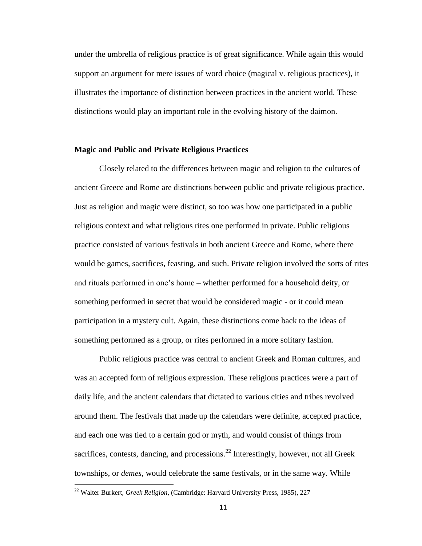under the umbrella of religious practice is of great significance. While again this would support an argument for mere issues of word choice (magical v. religious practices), it illustrates the importance of distinction between practices in the ancient world. These distinctions would play an important role in the evolving history of the daimon.

#### **Magic and Public and Private Religious Practices**

Closely related to the differences between magic and religion to the cultures of ancient Greece and Rome are distinctions between public and private religious practice. Just as religion and magic were distinct, so too was how one participated in a public religious context and what religious rites one performed in private. Public religious practice consisted of various festivals in both ancient Greece and Rome, where there would be games, sacrifices, feasting, and such. Private religion involved the sorts of rites and rituals performed in one's home – whether performed for a household deity, or something performed in secret that would be considered magic - or it could mean participation in a mystery cult. Again, these distinctions come back to the ideas of something performed as a group, or rites performed in a more solitary fashion.

Public religious practice was central to ancient Greek and Roman cultures, and was an accepted form of religious expression. These religious practices were a part of daily life, and the ancient calendars that dictated to various cities and tribes revolved around them. The festivals that made up the calendars were definite, accepted practice, and each one was tied to a certain god or myth, and would consist of things from sacrifices, contests, dancing, and processions. $^{22}$  Interestingly, however, not all Greek townships, or *demes*, would celebrate the same festivals, or in the same way. While

<sup>22</sup> Walter Burkert, *Greek Religion*, (Cambridge: Harvard University Press, 1985), 227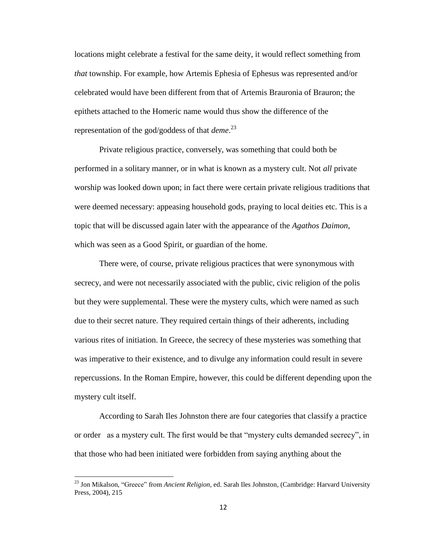locations might celebrate a festival for the same deity, it would reflect something from *that* township. For example, how Artemis Ephesia of Ephesus was represented and/or celebrated would have been different from that of Artemis Brauronia of Brauron; the epithets attached to the Homeric name would thus show the difference of the representation of the god/goddess of that *deme*. 23

Private religious practice, conversely, was something that could both be performed in a solitary manner, or in what is known as a mystery cult. Not *all* private worship was looked down upon; in fact there were certain private religious traditions that were deemed necessary: appeasing household gods, praying to local deities etc. This is a topic that will be discussed again later with the appearance of the *Agathos Daimon*, which was seen as a Good Spirit, or guardian of the home.

There were, of course, private religious practices that were synonymous with secrecy, and were not necessarily associated with the public, civic religion of the polis but they were supplemental. These were the mystery cults, which were named as such due to their secret nature. They required certain things of their adherents, including various rites of initiation. In Greece, the secrecy of these mysteries was something that was imperative to their existence, and to divulge any information could result in severe repercussions. In the Roman Empire, however, this could be different depending upon the mystery cult itself.

According to Sarah Iles Johnston there are four categories that classify a practice or order as a mystery cult. The first would be that "mystery cults demanded secrecy", in that those who had been initiated were forbidden from saying anything about the

<sup>23</sup> Jon Mikalson, "Greece" from *Ancient Religion*, ed. Sarah Iles Johnston, (Cambridge: Harvard University Press, 2004), 215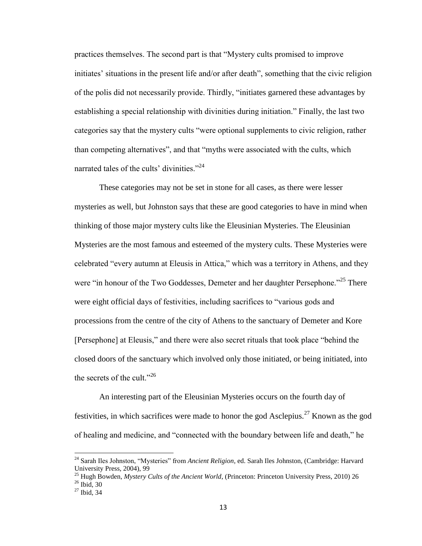practices themselves. The second part is that "Mystery cults promised to improve initiates' situations in the present life and/or after death", something that the civic religion of the polis did not necessarily provide. Thirdly, "initiates garnered these advantages by establishing a special relationship with divinities during initiation." Finally, the last two categories say that the mystery cults "were optional supplements to civic religion, rather than competing alternatives", and that "myths were associated with the cults, which narrated tales of the cults' divinities."<sup>24</sup>

These categories may not be set in stone for all cases, as there were lesser mysteries as well, but Johnston says that these are good categories to have in mind when thinking of those major mystery cults like the Eleusinian Mysteries. The Eleusinian Mysteries are the most famous and esteemed of the mystery cults. These Mysteries were celebrated "every autumn at Eleusis in Attica," which was a territory in Athens, and they were "in honour of the Two Goddesses, Demeter and her daughter Persephone."<sup>25</sup> There were eight official days of festivities, including sacrifices to "various gods and processions from the centre of the city of Athens to the sanctuary of Demeter and Kore [Persephone] at Eleusis," and there were also secret rituals that took place "behind the closed doors of the sanctuary which involved only those initiated, or being initiated, into the secrets of the cult."<sup>26</sup>

An interesting part of the Eleusinian Mysteries occurs on the fourth day of festivities, in which sacrifices were made to honor the god Asclepius.<sup>27</sup> Known as the god of healing and medicine, and "connected with the boundary between life and death," he

 $\overline{a}$ 

<sup>24</sup> Sarah Iles Johnston, "Mysteries" from *Ancient Religion*, ed. Sarah Iles Johnston, (Cambridge: Harvard University Press, 2004), 99

<sup>25</sup> Hugh Bowden, *Mystery Cults of the Ancient World*, (Princeton: Princeton University Press, 2010) 26  $26$  Ibid, 30

 $27$  Ibid, 34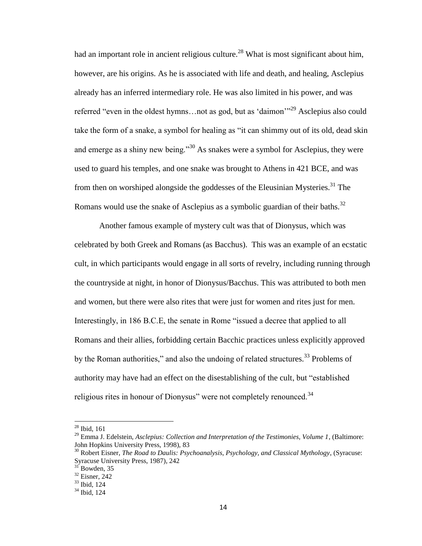had an important role in ancient religious culture.<sup>28</sup> What is most significant about him, however, are his origins. As he is associated with life and death, and healing, Asclepius already has an inferred intermediary role. He was also limited in his power, and was referred "even in the oldest hymns…not as god, but as 'daimon'"<sup>29</sup> Asclepius also could take the form of a snake, a symbol for healing as "it can shimmy out of its old, dead skin and emerge as a shiny new being."<sup>30</sup> As snakes were a symbol for Asclepius, they were used to guard his temples, and one snake was brought to Athens in 421 BCE, and was from then on worshiped alongside the goddesses of the Eleusinian Mysteries.<sup>31</sup> The Romans would use the snake of Asclepius as a symbolic guardian of their baths.<sup>32</sup>

Another famous example of mystery cult was that of Dionysus, which was celebrated by both Greek and Romans (as Bacchus). This was an example of an ecstatic cult, in which participants would engage in all sorts of revelry, including running through the countryside at night, in honor of Dionysus/Bacchus. This was attributed to both men and women, but there were also rites that were just for women and rites just for men. Interestingly, in 186 B.C.E, the senate in Rome "issued a decree that applied to all Romans and their allies, forbidding certain Bacchic practices unless explicitly approved by the Roman authorities," and also the undoing of related structures.<sup>33</sup> Problems of authority may have had an effect on the disestablishing of the cult, but "established religious rites in honour of Dionysus" were not completely renounced.<sup>34</sup>

 $28$  Ibid, 161

<sup>29</sup> Emma J. Edelstein, *Asclepius: Collection and Interpretation of the Testimonies, Volume 1*, (Baltimore: John Hopkins University Press, 1998), 83

<sup>30</sup> Robert Eisner, *The Road to Daulis: Psychoanalysis, Psychology, and Classical Mythology*, (Syracuse: Syracuse University Press, 1987), 242

 $31$ <sup>S1</sup> Bowden, 35

<sup>32</sup> Eisner, 242

<sup>33</sup> Ibid, 124

<sup>34</sup> Ibid, 124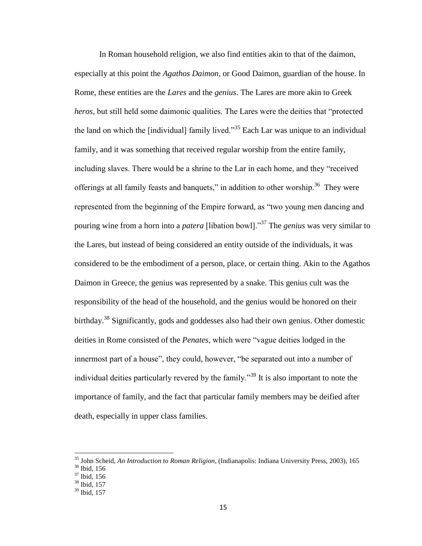In Roman household religion, we also find entities akin to that of the daimon, especially at this point the *Agathos Daimon*, or Good Daimon, guardian of the house. In Rome, these entities are the *Lares* and the *genius*. The Lares are more akin to Greek *heros*, but still held some daimonic qualities. The Lares were the deities that "protected the land on which the [individual] family lived."<sup>35</sup> Each Lar was unique to an individual family, and it was something that received regular worship from the entire family, including slaves. There would be a shrine to the Lar in each home, and they "received offerings at all family feasts and banquets," in addition to other worship.<sup>36</sup> They were represented from the beginning of the Empire forward, as "two young men dancing and pouring wine from a horn into a *patera* [libation bowl]."<sup>37</sup> The *genius* was very similar to the Lares, but instead of being considered an entity outside of the individuals, it was considered to be the embodiment of a person, place, or certain thing. Akin to the Agathos Daimon in Greece, the genius was represented by a snake. This genius cult was the responsibility of the head of the household, and the genius would be honored on their birthday.<sup>38</sup> Significantly, gods and goddesses also had their own genius. Other domestic deities in Rome consisted of the *Penates*, which were "vague deities lodged in the innermost part of a house", they could, however, "be separated out into a number of individual deities particularly revered by the family.<sup>39</sup> It is also important to note the importance of family, and the fact that particular family members may be deified after death, especially in upper class families.

 $\overline{a}$ 

<sup>35</sup> John Scheid, *An Introduction to Roman Religion,* (Indianapolis: Indiana University Press, 2003), 165

<sup>36</sup> Ibid, 156

<sup>37</sup> Ibid, 156

<sup>38</sup> Ibid, 157

 $39$  Ibid, 157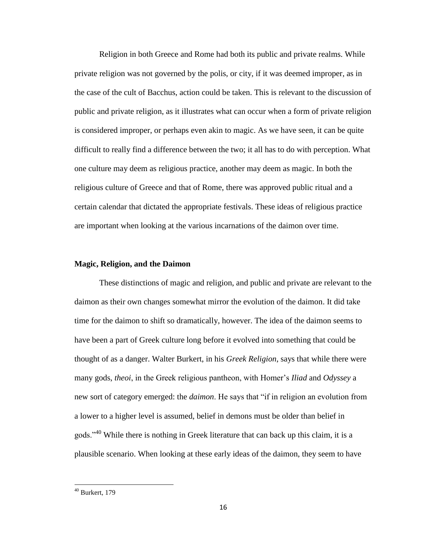Religion in both Greece and Rome had both its public and private realms. While private religion was not governed by the polis, or city, if it was deemed improper, as in the case of the cult of Bacchus, action could be taken. This is relevant to the discussion of public and private religion, as it illustrates what can occur when a form of private religion is considered improper, or perhaps even akin to magic. As we have seen, it can be quite difficult to really find a difference between the two; it all has to do with perception. What one culture may deem as religious practice, another may deem as magic. In both the religious culture of Greece and that of Rome, there was approved public ritual and a certain calendar that dictated the appropriate festivals. These ideas of religious practice are important when looking at the various incarnations of the daimon over time.

#### **Magic, Religion, and the Daimon**

These distinctions of magic and religion, and public and private are relevant to the daimon as their own changes somewhat mirror the evolution of the daimon. It did take time for the daimon to shift so dramatically, however. The idea of the daimon seems to have been a part of Greek culture long before it evolved into something that could be thought of as a danger. Walter Burkert, in his *Greek Religion*, says that while there were many gods, *theoi*, in the Greek religious pantheon, with Homer's *Iliad* and *Odyssey* a new sort of category emerged: the *daimon*. He says that "if in religion an evolution from a lower to a higher level is assumed, belief in demons must be older than belief in gods."<sup>40</sup> While there is nothing in Greek literature that can back up this claim, it is a plausible scenario. When looking at these early ideas of the daimon, they seem to have

 $40$  Burkert, 179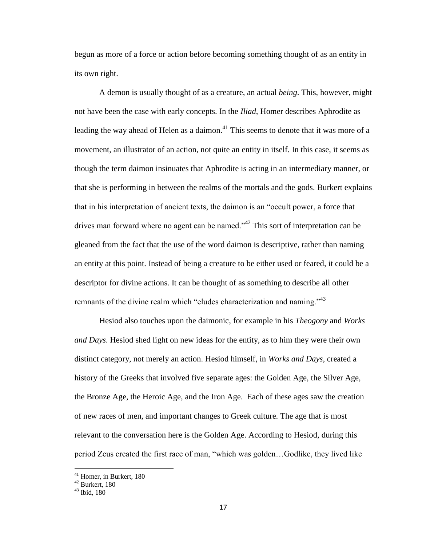begun as more of a force or action before becoming something thought of as an entity in its own right.

A demon is usually thought of as a creature, an actual *being*. This, however, might not have been the case with early concepts. In the *Iliad*, Homer describes Aphrodite as leading the way ahead of Helen as a daimon.<sup>41</sup> This seems to denote that it was more of a movement, an illustrator of an action, not quite an entity in itself. In this case, it seems as though the term daimon insinuates that Aphrodite is acting in an intermediary manner, or that she is performing in between the realms of the mortals and the gods. Burkert explains that in his interpretation of ancient texts, the daimon is an "occult power, a force that drives man forward where no agent can be named."<sup>42</sup> This sort of interpretation can be gleaned from the fact that the use of the word daimon is descriptive, rather than naming an entity at this point. Instead of being a creature to be either used or feared, it could be a descriptor for divine actions. It can be thought of as something to describe all other remnants of the divine realm which "eludes characterization and naming."<sup>43</sup>

Hesiod also touches upon the daimonic, for example in his *Theogony* and *Works and Days*. Hesiod shed light on new ideas for the entity, as to him they were their own distinct category, not merely an action. Hesiod himself, in *Works and Days*, created a history of the Greeks that involved five separate ages: the Golden Age, the Silver Age, the Bronze Age, the Heroic Age, and the Iron Age. Each of these ages saw the creation of new races of men, and important changes to Greek culture. The age that is most relevant to the conversation here is the Golden Age. According to Hesiod, during this period Zeus created the first race of man, "which was golden…Godlike, they lived like

<sup>&</sup>lt;sup>41</sup> Homer, in Burkert, 180

 $42$  Burkert, 180

<sup>43</sup> Ibid, 180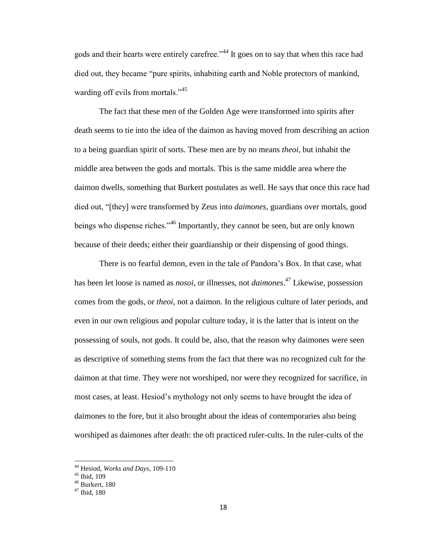gods and their hearts were entirely carefree."<sup>44</sup> It goes on to say that when this race had died out, they became "pure spirits, inhabiting earth and Noble protectors of mankind, warding off evils from mortals."<sup>45</sup>

The fact that these men of the Golden Age were transformed into spirits after death seems to tie into the idea of the daimon as having moved from describing an action to a being guardian spirit of sorts. These men are by no means *theoi*, but inhabit the middle area between the gods and mortals. This is the same middle area where the daimon dwells, something that Burkert postulates as well. He says that once this race had died out, "[they] were transformed by Zeus into *daimones*, guardians over mortals, good beings who dispense riches."<sup>46</sup> Importantly, they cannot be seen, but are only known because of their deeds; either their guardianship or their dispensing of good things.

There is no fearful demon, even in the tale of Pandora's Box. In that case, what has been let loose is named as *nosoi*, or illnesses, not *daimones*. <sup>47</sup> Likewise, possession comes from the gods, or *theoi*, not a daimon. In the religious culture of later periods, and even in our own religious and popular culture today, it is the latter that is intent on the possessing of souls, not gods. It could be, also, that the reason why daimones were seen as descriptive of something stems from the fact that there was no recognized cult for the daimon at that time. They were not worshiped, nor were they recognized for sacrifice, in most cases, at least. Hesiod's mythology not only seems to have brought the idea of daimones to the fore, but it also brought about the ideas of contemporaries also being worshiped as daimones after death: the oft practiced ruler-cults. In the ruler-cults of the

<sup>44</sup> Hesiod, *Works and Days*, 109-110

 $45$  Ibid,  $109$ 

 $46$  Burkert, 180

 $47$  Ibid, 180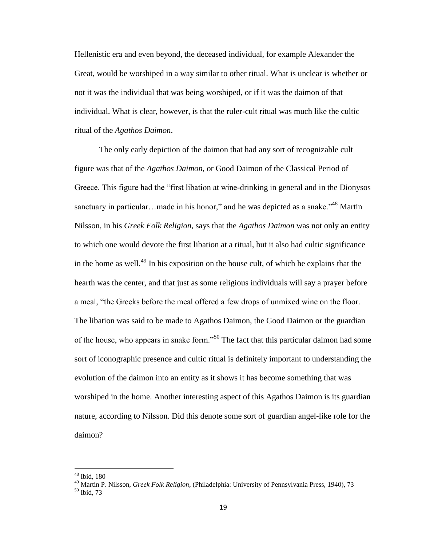Hellenistic era and even beyond, the deceased individual, for example Alexander the Great, would be worshiped in a way similar to other ritual. What is unclear is whether or not it was the individual that was being worshiped, or if it was the daimon of that individual. What is clear, however, is that the ruler-cult ritual was much like the cultic ritual of the *Agathos Daimon*.

The only early depiction of the daimon that had any sort of recognizable cult figure was that of the *Agathos Daimon*, or Good Daimon of the Classical Period of Greece. This figure had the "first libation at wine-drinking in general and in the Dionysos sanctuary in particular…made in his honor," and he was depicted as a snake. $148$  Martin Nilsson, in his *Greek Folk Religion*, says that the *Agathos Daimon* was not only an entity to which one would devote the first libation at a ritual, but it also had cultic significance in the home as well.<sup>49</sup> In his exposition on the house cult, of which he explains that the hearth was the center, and that just as some religious individuals will say a prayer before a meal, "the Greeks before the meal offered a few drops of unmixed wine on the floor. The libation was said to be made to Agathos Daimon, the Good Daimon or the guardian of the house, who appears in snake form."<sup>50</sup> The fact that this particular daimon had some sort of iconographic presence and cultic ritual is definitely important to understanding the evolution of the daimon into an entity as it shows it has become something that was worshiped in the home. Another interesting aspect of this Agathos Daimon is its guardian nature, according to Nilsson. Did this denote some sort of guardian angel-like role for the daimon?

<sup>48</sup> Ibid, 180

<sup>49</sup> Martin P. Nilsson, *Greek Folk Religion,* (Philadelphia: University of Pennsylvania Press, 1940), 73

<sup>50</sup> Ibid, 73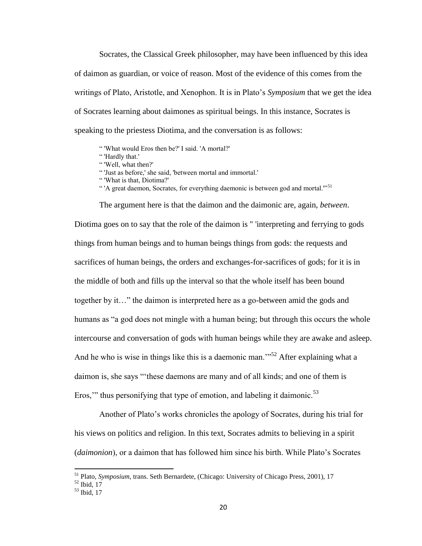Socrates, the Classical Greek philosopher, may have been influenced by this idea of daimon as guardian, or voice of reason. Most of the evidence of this comes from the writings of Plato, Aristotle, and Xenophon. It is in Plato's *Symposium* that we get the idea of Socrates learning about daimones as spiritual beings. In this instance, Socrates is speaking to the priestess Diotima, and the conversation is as follows:

" 'What would Eros then be?' I said. 'A mortal?'

" 'Hardly that.'

" 'Well, what then?'

" 'Just as before,' she said, 'between mortal and immortal.'

" 'What is that, Diotima?'

"<sup>1</sup>A great daemon, Socrates, for everything daemonic is between god and mortal."<sup>51</sup>

The argument here is that the daimon and the daimonic are, again, *between*. Diotima goes on to say that the role of the daimon is " 'interpreting and ferrying to gods things from human beings and to human beings things from gods: the requests and sacrifices of human beings, the orders and exchanges-for-sacrifices of gods; for it is in the middle of both and fills up the interval so that the whole itself has been bound together by it…" the daimon is interpreted here as a go-between amid the gods and humans as "a god does not mingle with a human being; but through this occurs the whole intercourse and conversation of gods with human beings while they are awake and asleep. And he who is wise in things like this is a daemonic man.<sup>352</sup> After explaining what a daimon is, she says "'these daemons are many and of all kinds; and one of them is Eros," thus personifying that type of emotion, and labeling it daimonic.<sup>53</sup>

Another of Plato's works chronicles the apology of Socrates, during his trial for his views on politics and religion. In this text, Socrates admits to believing in a spirit (*daimonion*), or a daimon that has followed him since his birth. While Plato's Socrates

<sup>51</sup> Plato, *Symposium*, trans. Seth Bernardete, (Chicago: University of Chicago Press, 2001), 17

 $52$  Ibid,  $17$ 

<sup>53</sup> Ibid, 17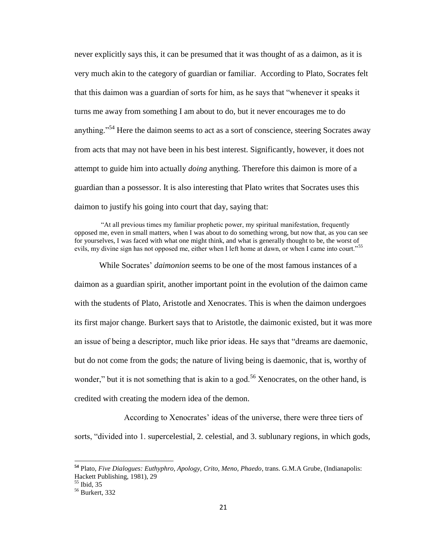never explicitly says this, it can be presumed that it was thought of as a daimon, as it is very much akin to the category of guardian or familiar. According to Plato, Socrates felt that this daimon was a guardian of sorts for him, as he says that "whenever it speaks it turns me away from something I am about to do, but it never encourages me to do anything."<sup>54</sup> Here the daimon seems to act as a sort of conscience, steering Socrates away from acts that may not have been in his best interest. Significantly, however, it does not attempt to guide him into actually *doing* anything. Therefore this daimon is more of a guardian than a possessor. It is also interesting that Plato writes that Socrates uses this daimon to justify his going into court that day, saying that:

"At all previous times my familiar prophetic power, my spiritual manifestation, frequently opposed me, even in small matters, when I was about to do something wrong, but now that, as you can see for yourselves, I was faced with what one might think, and what is generally thought to be, the worst of evils, my divine sign has not opposed me, either when I left home at dawn, or when I came into court."<sup>55</sup>

While Socrates' *daimonion* seems to be one of the most famous instances of a daimon as a guardian spirit, another important point in the evolution of the daimon came with the students of Plato, Aristotle and Xenocrates. This is when the daimon undergoes its first major change. Burkert says that to Aristotle, the daimonic existed, but it was more an issue of being a descriptor, much like prior ideas. He says that "dreams are daemonic, but do not come from the gods; the nature of living being is daemonic, that is, worthy of wonder," but it is not something that is akin to a god.<sup>56</sup> Xenocrates, on the other hand, is credited with creating the modern idea of the demon.

According to Xenocrates' ideas of the universe, there were three tiers of

sorts, "divided into 1. supercelestial, 2. celestial, and 3. sublunary regions, in which gods,

**<sup>54</sup>** Plato, *Five Dialogues: Euthyphro, Apology, Crito, Meno, Phaedo*, trans. G.M.A Grube, (Indianapolis: Hackett Publishing, 1981), 29

<sup>55</sup> Ibid, 35

<sup>56</sup> Burkert, 332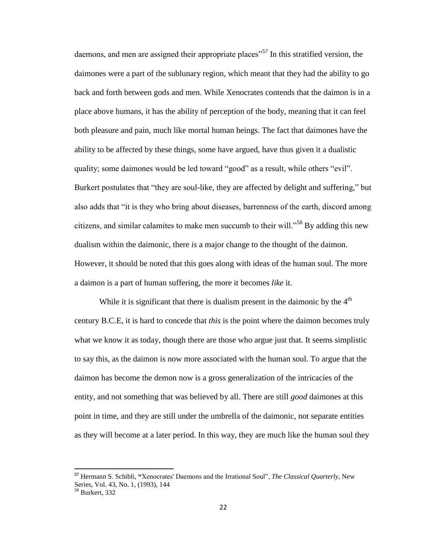daemons, and men are assigned their appropriate places<sup> $57$ </sup> In this stratified version, the daimones were a part of the sublunary region, which meant that they had the ability to go back and forth between gods and men. While Xenocrates contends that the daimon is in a place above humans, it has the ability of perception of the body, meaning that it can feel both pleasure and pain, much like mortal human beings. The fact that daimones have the ability to be affected by these things, some have argued, have thus given it a dualistic quality; some daimones would be led toward "good" as a result, while others "evil". Burkert postulates that "they are soul-like, they are affected by delight and suffering," but also adds that "it is they who bring about diseases, barrenness of the earth, discord among citizens, and similar calamites to make men succumb to their will."<sup>58</sup> By adding this new dualism within the daimonic, there *is* a major change to the thought of the daimon. However, it should be noted that this goes along with ideas of the human soul. The more a daimon is a part of human suffering, the more it becomes *like* it.

While it is significant that there is dualism present in the daimonic by the  $4<sup>th</sup>$ century B.C.E, it is hard to concede that *this* is the point where the daimon becomes truly what we know it as today, though there are those who argue just that. It seems simplistic to say this, as the daimon is now more associated with the human soul. To argue that the daimon has become the demon now is a gross generalization of the intricacies of the entity, and not something that was believed by all. There are still *good* daimones at this point in time, and they are still under the umbrella of the daimonic, not separate entities as they will become at a later period. In this way, they are much like the human soul they

**<sup>57</sup>** Hermann S. Schibli, **"**Xenocrates' Daemons and the Irrational Soul", *The Classical Quarterly*, New Series, Vol. 43, No. 1, (1993), 144

<sup>58</sup> Burkert, 332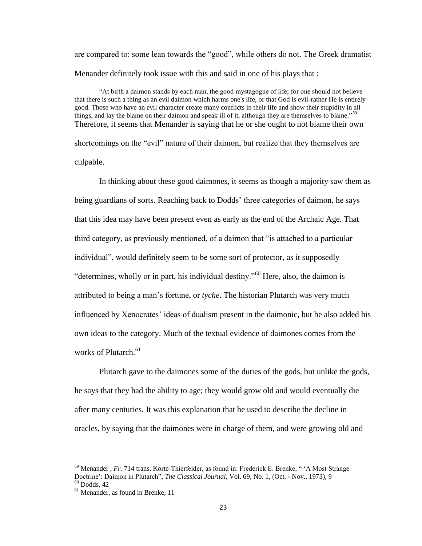are compared to: some lean towards the "good", while others do not. The Greek dramatist Menander definitely took issue with this and said in one of his plays that :

"At birth a daimon stands by each man, the good mystagogue of life; for one should not believe that there is such a thing as an evil daimon which harms one's life, or that God is evil-rather He is entirely good. Those who have an evil character create many conflicts in their life and show their stupidity in all things, and lay the blame on their daimon and speak ill of it, although they are themselves to blame."<sup>59</sup> Therefore, it seems that Menander is saying that he or she ought to not blame their own shortcomings on the "evil" nature of their daimon, but realize that they themselves are

culpable.

In thinking about these good daimones, it seems as though a majority saw them as being guardians of sorts. Reaching back to Dodds' three categories of daimon, he says that this idea may have been present even as early as the end of the Archaic Age. That third category, as previously mentioned, of a daimon that "is attached to a particular individual", would definitely seem to be some sort of protector, as it supposedly "determines, wholly or in part, his individual destiny."<sup>60</sup> Here, also, the daimon is attributed to being a man's fortune, or *tyche*. The historian Plutarch was very much influenced by Xenocrates' ideas of dualism present in the daimonic, but he also added his own ideas to the category. Much of the textual evidence of daimones comes from the works of Plutarch.<sup>61</sup>

Plutarch gave to the daimones some of the duties of the gods, but unlike the gods, he says that they had the ability to age; they would grow old and would eventually die after many centuries. It was this explanation that he used to describe the decline in oracles, by saying that the daimones were in charge of them, and were growing old and

<sup>&</sup>lt;sup>59</sup> Menander *, Fr.* 714 trans. Korte-Thierfelder, as found in: Frederick E. Brenke, "<sup>A</sup> Most Strange Doctrine': Daimon in Plutarch", *The Classical Journal*, Vol. 69, No. 1, (Oct. - Nov., 1973), 9  $60$  Dodds, 42

 $<sup>61</sup>$  Menander, as found in Brenke, 11</sup>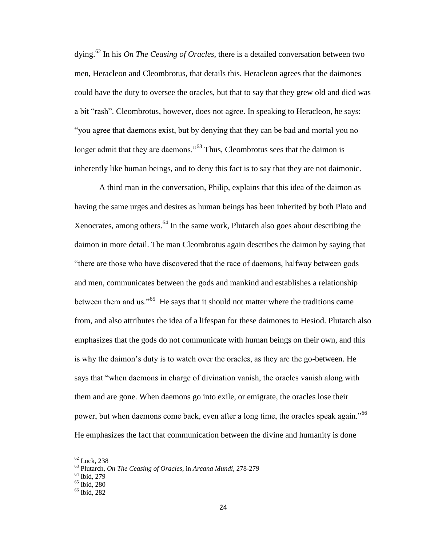dying.<sup>62</sup> In his *On The Ceasing of Oracles,* there is a detailed conversation between two men, Heracleon and Cleombrotus, that details this. Heracleon agrees that the daimones could have the duty to oversee the oracles, but that to say that they grew old and died was a bit "rash". Cleombrotus, however, does not agree. In speaking to Heracleon, he says: "you agree that daemons exist, but by denying that they can be bad and mortal you no longer admit that they are daemons."<sup>63</sup> Thus, Cleombrotus sees that the daimon is inherently like human beings, and to deny this fact is to say that they are not daimonic.

A third man in the conversation, Philip, explains that this idea of the daimon as having the same urges and desires as human beings has been inherited by both Plato and Xenocrates, among others.<sup>64</sup> In the same work, Plutarch also goes about describing the daimon in more detail. The man Cleombrotus again describes the daimon by saying that "there are those who have discovered that the race of daemons, halfway between gods and men, communicates between the gods and mankind and establishes a relationship between them and us."<sup>65</sup> He says that it should not matter where the traditions came from, and also attributes the idea of a lifespan for these daimones to Hesiod. Plutarch also emphasizes that the gods do not communicate with human beings on their own, and this is why the daimon's duty is to watch over the oracles, as they are the go-between. He says that "when daemons in charge of divination vanish, the oracles vanish along with them and are gone. When daemons go into exile, or emigrate, the oracles lose their power, but when daemons come back, even after a long time, the oracles speak again."<sup>66</sup> He emphasizes the fact that communication between the divine and humanity is done

 $\overline{a}$ 

 $62$  Luck, 238

<sup>63</sup> Plutarch, *On The Ceasing of Oracles*, in *Arcana Mundi,* 278-279

<sup>64</sup> Ibid, 279

<sup>65</sup> Ibid, 280

 $66$  Ibid, 282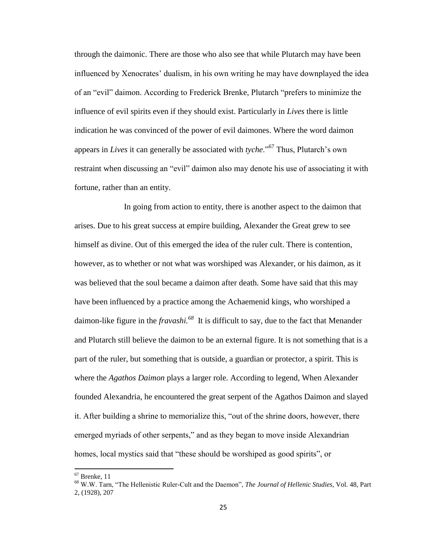through the daimonic. There are those who also see that while Plutarch may have been influenced by Xenocrates' dualism, in his own writing he may have downplayed the idea of an "evil" daimon. According to Frederick Brenke, Plutarch "prefers to minimize the influence of evil spirits even if they should exist. Particularly in *Lives* there is little indication he was convinced of the power of evil daimones. Where the word daimon appears in *Lives* it can generally be associated with *tyche*."<sup>67</sup> Thus, Plutarch's own restraint when discussing an "evil" daimon also may denote his use of associating it with fortune, rather than an entity.

In going from action to entity, there is another aspect to the daimon that arises. Due to his great success at empire building, Alexander the Great grew to see himself as divine. Out of this emerged the idea of the ruler cult. There is contention, however, as to whether or not what was worshiped was Alexander, or his daimon, as it was believed that the soul became a daimon after death. Some have said that this may have been influenced by a practice among the Achaemenid kings, who worshiped a daimon-like figure in the *fravashi.<sup>68</sup>* It is difficult to say, due to the fact that Menander and Plutarch still believe the daimon to be an external figure. It is not something that is a part of the ruler, but something that is outside, a guardian or protector, a spirit. This is where the *Agathos Daimon* plays a larger role. According to legend, When Alexander founded Alexandria, he encountered the great serpent of the Agathos Daimon and slayed it. After building a shrine to memorialize this, "out of the shrine doors, however, there emerged myriads of other serpents," and as they began to move inside Alexandrian homes, local mystics said that "these should be worshiped as good spirits", or

 $67$  Brenke, 11

<sup>68</sup> W.W. Tarn, "The Hellenistic Ruler-Cult and the Daemon", *The Journal of Hellenic Studies*, Vol. 48, Part 2, (1928), 207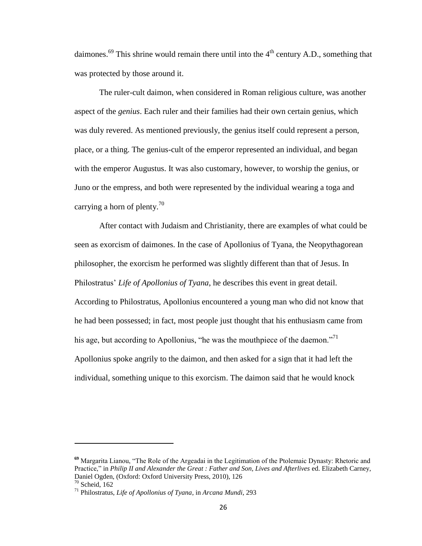daimones.<sup>69</sup> This shrine would remain there until into the  $4<sup>th</sup>$  century A.D., something that was protected by those around it.

The ruler-cult daimon, when considered in Roman religious culture, was another aspect of the *genius*. Each ruler and their families had their own certain genius, which was duly revered. As mentioned previously, the genius itself could represent a person, place, or a thing. The genius-cult of the emperor represented an individual, and began with the emperor Augustus. It was also customary, however, to worship the genius, or Juno or the empress, and both were represented by the individual wearing a toga and carrying a horn of plenty.<sup>70</sup>

After contact with Judaism and Christianity, there are examples of what could be seen as exorcism of daimones. In the case of Apollonius of Tyana, the Neopythagorean philosopher, the exorcism he performed was slightly different than that of Jesus. In Philostratus' *Life of Apollonius of Tyana*, he describes this event in great detail. According to Philostratus, Apollonius encountered a young man who did not know that he had been possessed; in fact, most people just thought that his enthusiasm came from his age, but according to Apollonius, "he was the mouthpiece of the daemon."<sup>71</sup> Apollonius spoke angrily to the daimon, and then asked for a sign that it had left the individual, something unique to this exorcism. The daimon said that he would knock

**<sup>69</sup>** Margarita Lianou, "The Role of the Argeadai in the Legitimation of the Ptolemaic Dynasty: Rhetoric and Practice," in *Philip II and Alexander the Great : Father and Son, Lives and Afterlives* ed. Elizabeth Carney, Daniel Ogden, (Oxford: Oxford University Press, 2010), 126  $70$  Scheid,  $162$ 

<sup>71</sup> Philostratus, *Life of Apollonius of Tyana*, in *Arcana Mundi*, 293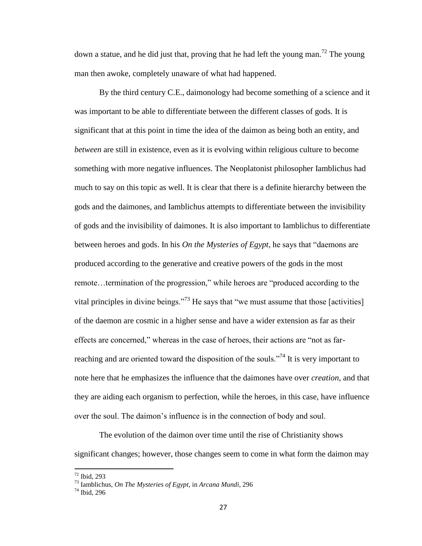down a statue, and he did just that, proving that he had left the young man.<sup>72</sup> The young man then awoke, completely unaware of what had happened.

By the third century C.E., daimonology had become something of a science and it was important to be able to differentiate between the different classes of gods. It is significant that at this point in time the idea of the daimon as being both an entity, and *between* are still in existence, even as it is evolving within religious culture to become something with more negative influences. The Neoplatonist philosopher Iamblichus had much to say on this topic as well. It is clear that there is a definite hierarchy between the gods and the daimones, and Iamblichus attempts to differentiate between the invisibility of gods and the invisibility of daimones. It is also important to Iamblichus to differentiate between heroes and gods. In his *On the Mysteries of Egypt*, he says that "daemons are produced according to the generative and creative powers of the gods in the most remote…termination of the progression," while heroes are "produced according to the vital principles in divine beings."<sup>73</sup> He says that "we must assume that those [activities] of the daemon are cosmic in a higher sense and have a wider extension as far as their effects are concerned," whereas in the case of heroes, their actions are "not as farreaching and are oriented toward the disposition of the souls."<sup>74</sup> It is very important to note here that he emphasizes the influence that the daimones have over *creation*, and that they are aiding each organism to perfection, while the heroes, in this case, have influence over the soul. The daimon's influence is in the connection of body and soul.

The evolution of the daimon over time until the rise of Christianity shows significant changes; however, those changes seem to come in what form the daimon may

 $72$  Ibid, 293

<sup>73</sup> Iamblichus, *On The Mysteries of Egypt*, in *Arcana Mundi*, 296

<sup>74</sup> Ibid, 296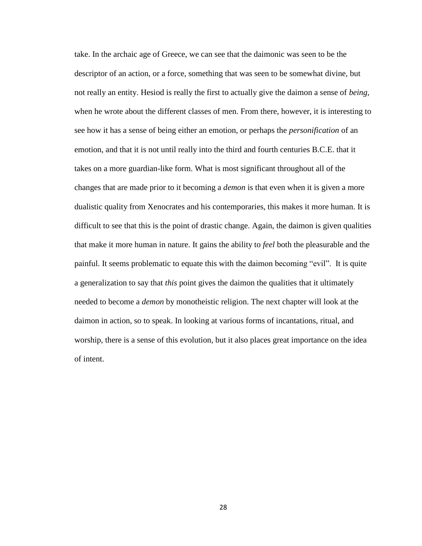take. In the archaic age of Greece, we can see that the daimonic was seen to be the descriptor of an action, or a force, something that was seen to be somewhat divine, but not really an entity. Hesiod is really the first to actually give the daimon a sense of *being,*  when he wrote about the different classes of men. From there, however, it is interesting to see how it has a sense of being either an emotion, or perhaps the *personification* of an emotion, and that it is not until really into the third and fourth centuries B.C.E. that it takes on a more guardian-like form. What is most significant throughout all of the changes that are made prior to it becoming a *demon* is that even when it is given a more dualistic quality from Xenocrates and his contemporaries, this makes it more human. It is difficult to see that this is the point of drastic change. Again, the daimon is given qualities that make it more human in nature. It gains the ability to *feel* both the pleasurable and the painful. It seems problematic to equate this with the daimon becoming "evil". It is quite a generalization to say that *this* point gives the daimon the qualities that it ultimately needed to become a *demon* by monotheistic religion. The next chapter will look at the daimon in action, so to speak. In looking at various forms of incantations, ritual, and worship, there is a sense of this evolution, but it also places great importance on the idea of intent.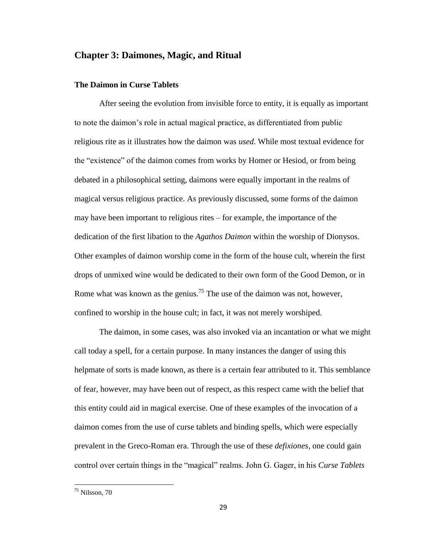## **Chapter 3: Daimones, Magic, and Ritual**

#### **The Daimon in Curse Tablets**

After seeing the evolution from invisible force to entity, it is equally as important to note the daimon's role in actual magical practice, as differentiated from public religious rite as it illustrates how the daimon was *used*. While most textual evidence for the "existence" of the daimon comes from works by Homer or Hesiod, or from being debated in a philosophical setting, daimons were equally important in the realms of magical versus religious practice. As previously discussed, some forms of the daimon may have been important to religious rites – for example, the importance of the dedication of the first libation to the *Agathos Daimon* within the worship of Dionysos. Other examples of daimon worship come in the form of the house cult, wherein the first drops of unmixed wine would be dedicated to their own form of the Good Demon, or in Rome what was known as the genius.<sup>75</sup> The use of the daimon was not, however, confined to worship in the house cult; in fact, it was not merely worshiped.

The daimon, in some cases, was also invoked via an incantation or what we might call today a spell, for a certain purpose. In many instances the danger of using this helpmate of sorts is made known, as there is a certain fear attributed to it. This semblance of fear, however, may have been out of respect, as this respect came with the belief that this entity could aid in magical exercise. One of these examples of the invocation of a daimon comes from the use of curse tablets and binding spells, which were especially prevalent in the Greco-Roman era. Through the use of these *defixiones,* one could gain control over certain things in the "magical" realms. John G. Gager, in his *Curse Tablets* 

<sup>75</sup> Nilsson, 70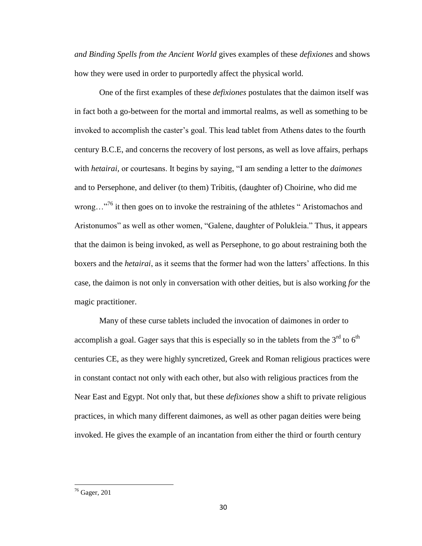*and Binding Spells from the Ancient World* gives examples of these *defixiones* and shows how they were used in order to purportedly affect the physical world.

One of the first examples of these *defixiones* postulates that the daimon itself was in fact both a go-between for the mortal and immortal realms, as well as something to be invoked to accomplish the caster's goal. This lead tablet from Athens dates to the fourth century B.C.E, and concerns the recovery of lost persons, as well as love affairs, perhaps with *hetairai,* or courtesans. It begins by saying, "I am sending a letter to the *daimones*  and to Persephone, and deliver (to them) Tribitis, (daughter of) Choirine, who did me wrong... $^{76}$  it then goes on to invoke the restraining of the athletes "Aristomachos and Aristonumos" as well as other women, "Galene, daughter of Polukleia." Thus, it appears that the daimon is being invoked, as well as Persephone, to go about restraining both the boxers and the *hetairai*, as it seems that the former had won the latters' affections. In this case, the daimon is not only in conversation with other deities, but is also working *for* the magic practitioner.

Many of these curse tablets included the invocation of daimones in order to accomplish a goal. Gager says that this is especially so in the tablets from the  $3<sup>rd</sup>$  to  $6<sup>th</sup>$ centuries CE, as they were highly syncretized, Greek and Roman religious practices were in constant contact not only with each other, but also with religious practices from the Near East and Egypt. Not only that, but these *defixiones* show a shift to private religious practices, in which many different daimones, as well as other pagan deities were being invoked. He gives the example of an incantation from either the third or fourth century

<sup>76</sup> Gager, 201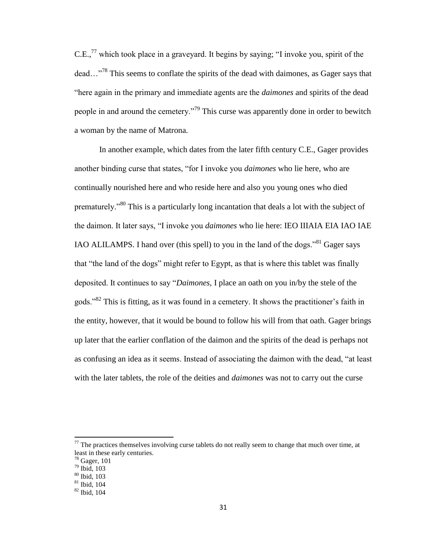$C.E.,<sup>77</sup>$  which took place in a graveyard. It begins by saying; "I invoke you, spirit of the dead...<sup>78</sup> This seems to conflate the spirits of the dead with daimones, as Gager says that "here again in the primary and immediate agents are the *daimones* and spirits of the dead people in and around the cemetery."<sup>79</sup> This curse was apparently done in order to bewitch a woman by the name of Matrona.

In another example, which dates from the later fifth century C.E., Gager provides another binding curse that states, "for I invoke you *daimones* who lie here, who are continually nourished here and who reside here and also you young ones who died prematurely."<sup>80</sup> This is a particularly long incantation that deals a lot with the subject of the daimon. It later says, "I invoke you *daimones* who lie here: IEO IIIAIA EIA IAO IAE IAO ALILAMPS. I hand over (this spell) to you in the land of the dogs."<sup>81</sup> Gager says that "the land of the dogs" might refer to Egypt, as that is where this tablet was finally deposited. It continues to say "*Daimones,* I place an oath on you in/by the stele of the gods."<sup>82</sup> This is fitting, as it was found in a cemetery. It shows the practitioner's faith in the entity, however, that it would be bound to follow his will from that oath. Gager brings up later that the earlier conflation of the daimon and the spirits of the dead is perhaps not as confusing an idea as it seems. Instead of associating the daimon with the dead, "at least with the later tablets, the role of the deities and *daimones* was not to carry out the curse

 $<sup>77</sup>$  The practices themselves involving curse tablets do not really seem to change that much over time, at</sup> least in these early centuries.

 $78$  Gager, 101

<sup>79</sup> Ibid, 103

<sup>80</sup> Ibid, 103

 $81$  Ibid, 104

<sup>82</sup> Ibid, 104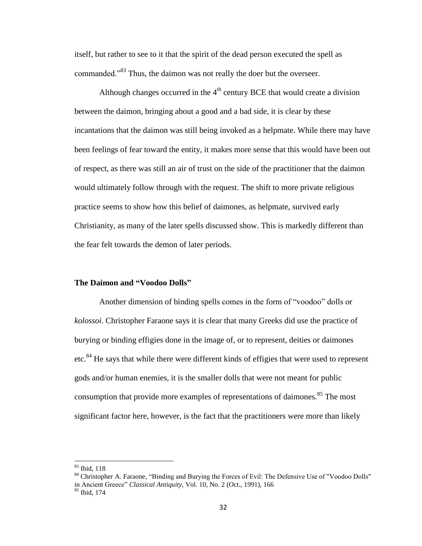itself, but rather to see to it that the spirit of the dead person executed the spell as commanded."<sup>83</sup> Thus, the daimon was not really the doer but the overseer.

Although changes occurred in the  $4<sup>th</sup>$  century BCE that would create a division between the daimon, bringing about a good and a bad side, it is clear by these incantations that the daimon was still being invoked as a helpmate. While there may have been feelings of fear toward the entity, it makes more sense that this would have been out of respect, as there was still an air of trust on the side of the practitioner that the daimon would ultimately follow through with the request. The shift to more private religious practice seems to show how this belief of daimones, as helpmate, survived early Christianity, as many of the later spells discussed show. This is markedly different than the fear felt towards the demon of later periods.

#### **The Daimon and "Voodoo Dolls"**

Another dimension of binding spells comes in the form of "voodoo" dolls or *kolossoi*. Christopher Faraone says it is clear that many Greeks did use the practice of burying or binding effigies done in the image of, or to represent, deities or daimones etc.<sup>84</sup> He says that while there were different kinds of effigies that were used to represent gods and/or human enemies, it is the smaller dolls that were not meant for public consumption that provide more examples of representations of daimones.<sup>85</sup> The most significant factor here, however, is the fact that the practitioners were more than likely

<sup>83</sup> Ibid, 118

<sup>&</sup>lt;sup>84</sup> Christopher A. Faraone, "Binding and Burying the Forces of Evil: The Defensive Use of "Voodoo Dolls" in Ancient Greece" *Classical Antiquity*, Vol. 10, No. 2 (Oct., 1991), 166  $85$  Ibid, 174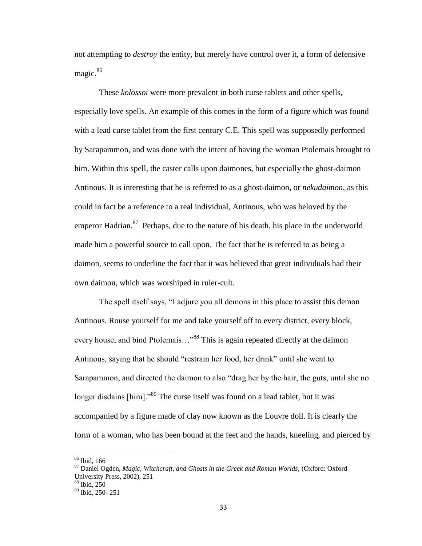not attempting to *destroy* the entity, but merely have control over it, a form of defensive magic.<sup>86</sup>

These *kolossoi* were more prevalent in both curse tablets and other spells, especially love spells. An example of this comes in the form of a figure which was found with a lead curse tablet from the first century C.E. This spell was supposedly performed by Sarapammon, and was done with the intent of having the woman Ptolemais brought to him. Within this spell, the caster calls upon daimones, but especially the ghost-daimon Antinous. It is interesting that he is referred to as a ghost-daimon, or *nekudaimon*, as this could in fact be a reference to a real individual, Antinous, who was beloved by the emperor Hadrian.<sup>87</sup> Perhaps, due to the nature of his death, his place in the underworld made him a powerful source to call upon. The fact that he is referred to as being a daimon, seems to underline the fact that it was believed that great individuals had their own daimon, which was worshiped in ruler-cult.

The spell itself says, "I adjure you all demons in this place to assist this demon Antinous. Rouse yourself for me and take yourself off to every district, every block, every house, and bind Ptolemais..."<sup>88</sup> This is again repeated directly at the daimon Antinous, saying that he should "restrain her food, her drink" until she went to Sarapammon, and directed the daimon to also "drag her by the hair, the guts, until she no longer disdains [him]."<sup>89</sup> The curse itself was found on a lead tablet, but it was accompanied by a figure made of clay now known as the Louvre doll. It is clearly the form of a woman, who has been bound at the feet and the hands, kneeling, and pierced by

<sup>86</sup> Ibid, 166

<sup>87</sup> Daniel Ogden, *Magic, Witchcraft, and Ghosts in the Greek and Roman Worlds,* (Oxford: Oxford University Press, 2002), 251

 $88$  Ibid,  $250$ 

 $89$  Ibid, 250- 251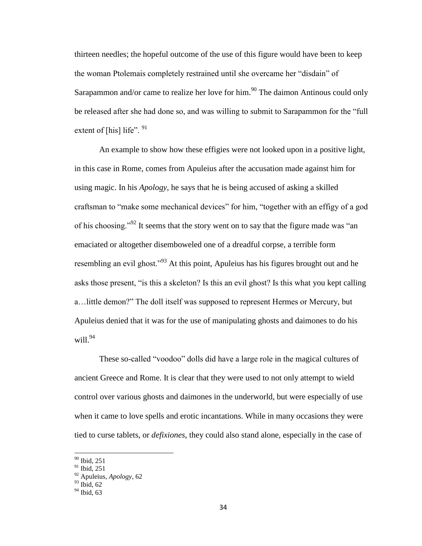thirteen needles; the hopeful outcome of the use of this figure would have been to keep the woman Ptolemais completely restrained until she overcame her "disdain" of Sarapammon and/or came to realize her love for him.<sup>90</sup> The daimon Antinous could only be released after she had done so, and was willing to submit to Sarapammon for the "full extent of [his] life".  $91$ 

An example to show how these effigies were not looked upon in a positive light, in this case in Rome, comes from Apuleius after the accusation made against him for using magic. In his *Apology*, he says that he is being accused of asking a skilled craftsman to "make some mechanical devices" for him, "together with an effigy of a god of his choosing."<sup>92</sup> It seems that the story went on to say that the figure made was "an emaciated or altogether disemboweled one of a dreadful corpse, a terrible form resembling an evil ghost."<sup>93</sup> At this point, Apuleius has his figures brought out and he asks those present, "is this a skeleton? Is this an evil ghost? Is this what you kept calling a…little demon?" The doll itself was supposed to represent Hermes or Mercury, but Apuleius denied that it was for the use of manipulating ghosts and daimones to do his will. $^{94}$ 

These so-called "voodoo" dolls did have a large role in the magical cultures of ancient Greece and Rome. It is clear that they were used to not only attempt to wield control over various ghosts and daimones in the underworld, but were especially of use when it came to love spells and erotic incantations. While in many occasions they were tied to curse tablets, or *defixiones*, they could also stand alone, especially in the case of

<sup>90</sup> Ibid, 251

 $91$  Ibid, 251

<sup>92</sup> Apuleius, *Apology*, 62

 $93$  Ibid, 62

<sup>&</sup>lt;sup>94</sup> Ibid, 63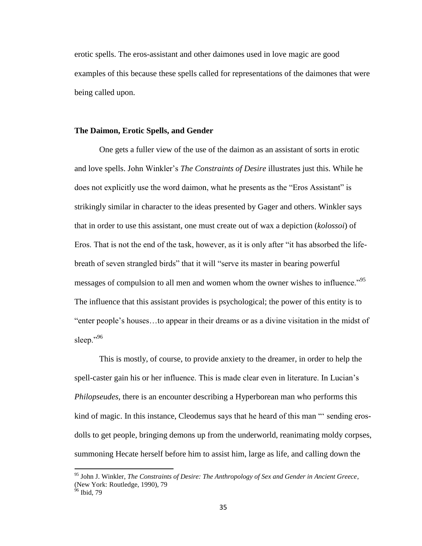erotic spells. The eros-assistant and other daimones used in love magic are good examples of this because these spells called for representations of the daimones that were being called upon.

## **The Daimon, Erotic Spells, and Gender**

One gets a fuller view of the use of the daimon as an assistant of sorts in erotic and love spells. John Winkler's *The Constraints of Desire* illustrates just this. While he does not explicitly use the word daimon, what he presents as the "Eros Assistant" is strikingly similar in character to the ideas presented by Gager and others. Winkler says that in order to use this assistant, one must create out of wax a depiction (*kolossoi*) of Eros. That is not the end of the task, however, as it is only after "it has absorbed the lifebreath of seven strangled birds" that it will "serve its master in bearing powerful messages of compulsion to all men and women whom the owner wishes to influence."<sup>95</sup> The influence that this assistant provides is psychological; the power of this entity is to "enter people's houses…to appear in their dreams or as a divine visitation in the midst of sleep."96

This is mostly, of course, to provide anxiety to the dreamer, in order to help the spell-caster gain his or her influence. This is made clear even in literature. In Lucian's *Philopseudes*, there is an encounter describing a Hyperborean man who performs this kind of magic. In this instance, Cleodemus says that he heard of this man "' sending erosdolls to get people, bringing demons up from the underworld, reanimating moldy corpses, summoning Hecate herself before him to assist him, large as life, and calling down the

<sup>95</sup> John J. Winkler, *The Constraints of Desire: The Anthropology of Sex and Gender in Ancient Greece,* (New York: Routledge, 1990), 79

<sup>&</sup>lt;sup>96</sup> Ibid, 79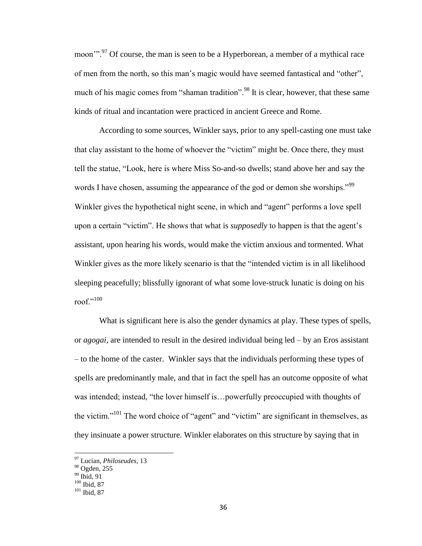moon"<sup>.97</sup> Of course, the man is seen to be a Hyperborean, a member of a mythical race of men from the north, so this man's magic would have seemed fantastical and "other", much of his magic comes from "shaman tradition".<sup>98</sup> It is clear, however, that these same kinds of ritual and incantation were practiced in ancient Greece and Rome.

According to some sources, Winkler says, prior to any spell-casting one must take that clay assistant to the home of whoever the "victim" might be. Once there, they must tell the statue, "Look, here is where Miss So-and-so dwells; stand above her and say the words I have chosen, assuming the appearance of the god or demon she worships."<sup>99</sup> Winkler gives the hypothetical night scene, in which and "agent" performs a love spell upon a certain "victim". He shows that what is *supposedly* to happen is that the agent's assistant, upon hearing his words, would make the victim anxious and tormented. What Winkler gives as the more likely scenario is that the "intended victim is in all likelihood sleeping peacefully; blissfully ignorant of what some love-struck lunatic is doing on his roof."100

What is significant here is also the gender dynamics at play. These types of spells, or *agogai,* are intended to result in the desired individual being led – by an Eros assistant – to the home of the caster. Winkler says that the individuals performing these types of spells are predominantly male, and that in fact the spell has an outcome opposite of what was intended; instead, "the lover himself is…powerfully preoccupied with thoughts of the victim."<sup>101</sup> The word choice of "agent" and "victim" are significant in themselves, as they insinuate a power structure. Winkler elaborates on this structure by saying that in

<sup>97</sup> Lucian, *Philoseudes*, 13

<sup>98</sup> Ogden, 255

 $99$  Ibid,  $91$ 

 $100$  Ibid, 87

<sup>&</sup>lt;sup>101</sup> Ibid, 87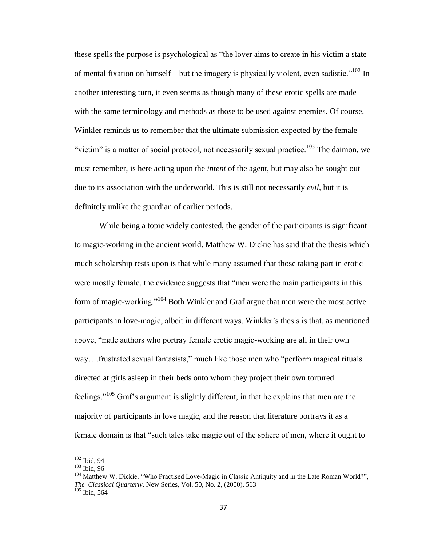these spells the purpose is psychological as "the lover aims to create in his victim a state of mental fixation on himself – but the imagery is physically violent, even sadistic."<sup>102</sup> In another interesting turn, it even seems as though many of these erotic spells are made with the same terminology and methods as those to be used against enemies. Of course, Winkler reminds us to remember that the ultimate submission expected by the female "victim" is a matter of social protocol, not necessarily sexual practice.<sup>103</sup> The daimon, we must remember, is here acting upon the *intent* of the agent, but may also be sought out due to its association with the underworld. This is still not necessarily *evil,* but it is definitely unlike the guardian of earlier periods.

While being a topic widely contested, the gender of the participants is significant to magic-working in the ancient world. Matthew W. Dickie has said that the thesis which much scholarship rests upon is that while many assumed that those taking part in erotic were mostly female, the evidence suggests that "men were the main participants in this form of magic-working."<sup>104</sup> Both Winkler and Graf argue that men were the most active participants in love-magic, albeit in different ways. Winkler's thesis is that, as mentioned above, "male authors who portray female erotic magic-working are all in their own way….frustrated sexual fantasists," much like those men who "perform magical rituals directed at girls asleep in their beds onto whom they project their own tortured feelings."<sup>105</sup> Graf's argument is slightly different, in that he explains that men are the majority of participants in love magic, and the reason that literature portrays it as a female domain is that "such tales take magic out of the sphere of men, where it ought to

 $102$  Ibid, 94

<sup>103</sup> Ibid, 96

<sup>&</sup>lt;sup>104</sup> Matthew W. Dickie, "Who Practised Love-Magic in Classic Antiquity and in the Late Roman World?", *The Classical Quarterly,* New Series, Vol. 50, No. 2, (2000), 563  $\frac{105}{105}$  Ibid, 564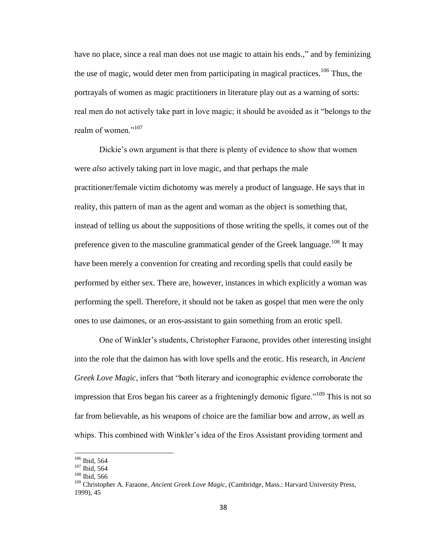have no place, since a real man does not use magic to attain his ends.," and by feminizing the use of magic, would deter men from participating in magical practices.<sup>106</sup> Thus, the portrayals of women as magic practitioners in literature play out as a warning of sorts: real men do not actively take part in love magic; it should be avoided as it "belongs to the realm of women."<sup>107</sup>

Dickie's own argument is that there is plenty of evidence to show that women were *also* actively taking part in love magic, and that perhaps the male practitioner/female victim dichotomy was merely a product of language. He says that in reality, this pattern of man as the agent and woman as the object is something that, instead of telling us about the suppositions of those writing the spells, it comes out of the preference given to the masculine grammatical gender of the Greek language.<sup>108</sup> It may have been merely a convention for creating and recording spells that could easily be performed by either sex. There are, however, instances in which explicitly a woman was performing the spell. Therefore, it should not be taken as gospel that men were the only ones to use daimones, or an eros-assistant to gain something from an erotic spell.

One of Winkler's students, Christopher Faraone, provides other interesting insight into the role that the daimon has with love spells and the erotic. His research, in *Ancient Greek Love Magic*, infers that "both literary and iconographic evidence corroborate the impression that Eros began his career as a frighteningly demonic figure.<sup>"109</sup> This is not so far from believable, as his weapons of choice are the familiar bow and arrow, as well as whips. This combined with Winkler's idea of the Eros Assistant providing torment and

 $106$  Ibid, 564

<sup>107</sup> Ibid, 564

<sup>108</sup> Ibid, 566

<sup>109</sup> Christopher A. Faraone, *Ancient Greek Love Magic,* (Cambridge, Mass.: Harvard University Press, 1999), 45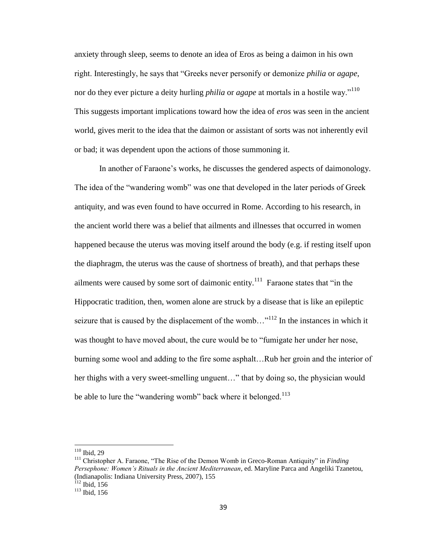anxiety through sleep, seems to denote an idea of Eros as being a daimon in his own right. Interestingly, he says that "Greeks never personify or demonize *philia* or *agape*, nor do they ever picture a deity hurling *philia* or *agape* at mortals in a hostile way."<sup>110</sup> This suggests important implications toward how the idea of *eros* was seen in the ancient world, gives merit to the idea that the daimon or assistant of sorts was not inherently evil or bad; it was dependent upon the actions of those summoning it.

In another of Faraone's works, he discusses the gendered aspects of daimonology. The idea of the "wandering womb" was one that developed in the later periods of Greek antiquity, and was even found to have occurred in Rome. According to his research, in the ancient world there was a belief that ailments and illnesses that occurred in women happened because the uterus was moving itself around the body (e.g. if resting itself upon the diaphragm, the uterus was the cause of shortness of breath), and that perhaps these ailments were caused by some sort of daimonic entity.<sup>111</sup> Faraone states that "in the Hippocratic tradition, then, women alone are struck by a disease that is like an epileptic seizure that is caused by the displacement of the womb..."<sup>112</sup> In the instances in which it was thought to have moved about, the cure would be to "fumigate her under her nose, burning some wool and adding to the fire some asphalt…Rub her groin and the interior of her thighs with a very sweet-smelling unguent…" that by doing so, the physician would be able to lure the "wandering womb" back where it belonged.<sup>113</sup>

l

 $110$  Ibid, 29

<sup>111</sup> Christopher A. Faraone, "The Rise of the Demon Womb in Greco-Roman Antiquity" in *Finding Persephone: Women's Rituals in the Ancient Mediterranean*, ed. Maryline Parca and Angeliki Tzanetou, (Indianapolis: Indiana University Press, 2007), 155  $\hat{1}$ <sup>12</sup> Ibid, 156

<sup>113</sup> Ibid, 156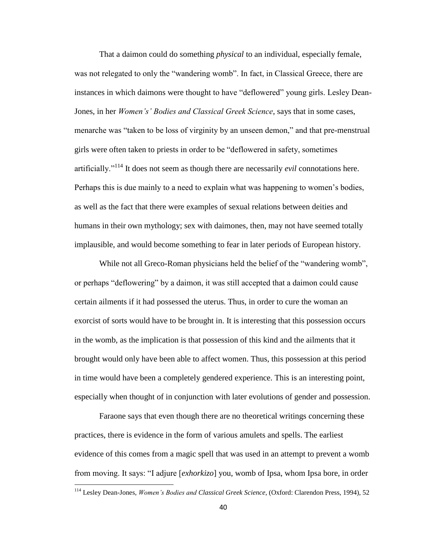That a daimon could do something *physical* to an individual, especially female, was not relegated to only the "wandering womb". In fact, in Classical Greece, there are instances in which daimons were thought to have "deflowered" young girls. Lesley Dean-Jones, in her *Women's' Bodies and Classical Greek Science*, says that in some cases, menarche was "taken to be loss of virginity by an unseen demon," and that pre-menstrual girls were often taken to priests in order to be "deflowered in safety, sometimes artificially."<sup>114</sup> It does not seem as though there are necessarily *evil* connotations here. Perhaps this is due mainly to a need to explain what was happening to women's bodies, as well as the fact that there were examples of sexual relations between deities and humans in their own mythology; sex with daimones, then, may not have seemed totally implausible, and would become something to fear in later periods of European history.

While not all Greco-Roman physicians held the belief of the "wandering womb", or perhaps "deflowering" by a daimon, it was still accepted that a daimon could cause certain ailments if it had possessed the uterus. Thus, in order to cure the woman an exorcist of sorts would have to be brought in. It is interesting that this possession occurs in the womb, as the implication is that possession of this kind and the ailments that it brought would only have been able to affect women. Thus, this possession at this period in time would have been a completely gendered experience. This is an interesting point, especially when thought of in conjunction with later evolutions of gender and possession.

Faraone says that even though there are no theoretical writings concerning these practices, there is evidence in the form of various amulets and spells. The earliest evidence of this comes from a magic spell that was used in an attempt to prevent a womb from moving. It says: "I adjure [*exhorkizo*] you, womb of Ipsa, whom Ipsa bore, in order

<sup>114</sup> Lesley Dean-Jones, *Women's Bodies and Classical Greek Science*, (Oxford: Clarendon Press, 1994), 52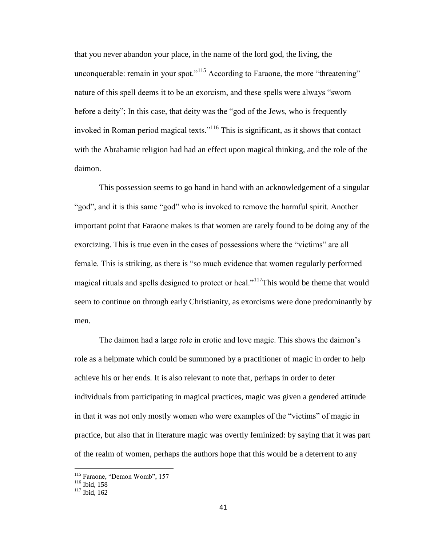that you never abandon your place, in the name of the lord god, the living, the unconquerable: remain in your spot."<sup>115</sup> According to Faraone, the more "threatening" nature of this spell deems it to be an exorcism, and these spells were always "sworn before a deity"; In this case, that deity was the "god of the Jews, who is frequently invoked in Roman period magical texts."<sup>116</sup> This is significant, as it shows that contact with the Abrahamic religion had had an effect upon magical thinking, and the role of the daimon.

This possession seems to go hand in hand with an acknowledgement of a singular "god", and it is this same "god" who is invoked to remove the harmful spirit. Another important point that Faraone makes is that women are rarely found to be doing any of the exorcizing. This is true even in the cases of possessions where the "victims" are all female. This is striking, as there is "so much evidence that women regularly performed magical rituals and spells designed to protect or heal."<sup>117</sup>This would be theme that would seem to continue on through early Christianity, as exorcisms were done predominantly by men.

The daimon had a large role in erotic and love magic. This shows the daimon's role as a helpmate which could be summoned by a practitioner of magic in order to help achieve his or her ends. It is also relevant to note that, perhaps in order to deter individuals from participating in magical practices, magic was given a gendered attitude in that it was not only mostly women who were examples of the "victims" of magic in practice, but also that in literature magic was overtly feminized: by saying that it was part of the realm of women, perhaps the authors hope that this would be a deterrent to any

<sup>&</sup>lt;sup>115</sup> Faraone, "Demon Womb", 157

<sup>&</sup>lt;sup>116</sup> Ibid, 158

<sup>&</sup>lt;sup>117</sup> Ibid, 162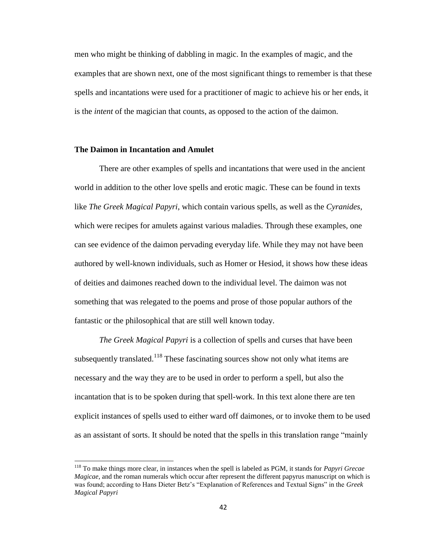men who might be thinking of dabbling in magic. In the examples of magic, and the examples that are shown next, one of the most significant things to remember is that these spells and incantations were used for a practitioner of magic to achieve his or her ends, it is the *intent* of the magician that counts, as opposed to the action of the daimon.

## **The Daimon in Incantation and Amulet**

 $\overline{\phantom{a}}$ 

There are other examples of spells and incantations that were used in the ancient world in addition to the other love spells and erotic magic. These can be found in texts like *The Greek Magical Papyri*, which contain various spells, as well as the *Cyranides*, which were recipes for amulets against various maladies. Through these examples, one can see evidence of the daimon pervading everyday life. While they may not have been authored by well-known individuals, such as Homer or Hesiod, it shows how these ideas of deities and daimones reached down to the individual level. The daimon was not something that was relegated to the poems and prose of those popular authors of the fantastic or the philosophical that are still well known today.

*The Greek Magical Papyri* is a collection of spells and curses that have been subsequently translated.<sup>118</sup> These fascinating sources show not only what items are necessary and the way they are to be used in order to perform a spell, but also the incantation that is to be spoken during that spell-work. In this text alone there are ten explicit instances of spells used to either ward off daimones, or to invoke them to be used as an assistant of sorts. It should be noted that the spells in this translation range "mainly

<sup>118</sup> To make things more clear, in instances when the spell is labeled as PGM, it stands for *Papyri Grecae Magicae*, and the roman numerals which occur after represent the different papyrus manuscript on which is was found; according to Hans Dieter Betz's "Explanation of References and Textual Signs" in the *Greek Magical Papyri*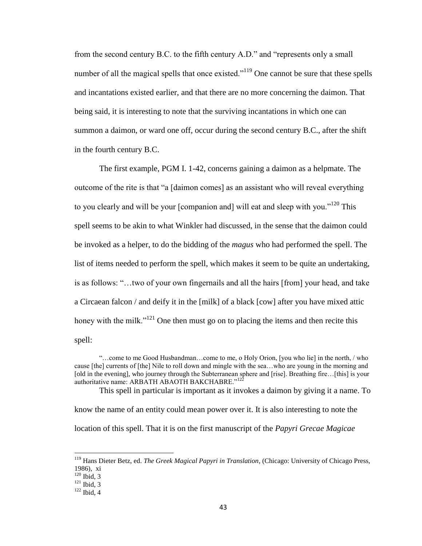from the second century B.C. to the fifth century A.D." and "represents only a small number of all the magical spells that once existed."<sup>119</sup> One cannot be sure that these spells and incantations existed earlier, and that there are no more concerning the daimon. That being said, it is interesting to note that the surviving incantations in which one can summon a daimon, or ward one off, occur during the second century B.C., after the shift in the fourth century B.C.

The first example, PGM I. 1-42, concerns gaining a daimon as a helpmate. The outcome of the rite is that "a [daimon comes] as an assistant who will reveal everything to you clearly and will be your [companion and] will eat and sleep with you."<sup>120</sup> This spell seems to be akin to what Winkler had discussed, in the sense that the daimon could be invoked as a helper, to do the bidding of the *magus* who had performed the spell. The list of items needed to perform the spell, which makes it seem to be quite an undertaking, is as follows: "…two of your own fingernails and all the hairs [from] your head, and take a Circaean falcon / and deify it in the [milk] of a black [cow] after you have mixed attic honey with the milk."<sup>121</sup> One then must go on to placing the items and then recite this spell:

"…come to me Good Husbandman…come to me, o Holy Orion, [you who lie] in the north, / who cause [the] currents of [the] Nile to roll down and mingle with the sea…who are young in the morning and [old in the evening], who journey through the Subterranean sphere and [rise]. Breathing fire...[this] is your authoritative name: ARBATH ABAOTH BAKCHABRE."<sup>122</sup>

This spell in particular is important as it invokes a daimon by giving it a name. To know the name of an entity could mean power over it. It is also interesting to note the location of this spell. That it is on the first manuscript of the *Papyri Grecae Magicae* 

<sup>119</sup> Hans Dieter Betz, ed. *The Greek Magical Papyri in Translation*, (Chicago: University of Chicago Press, 1986), xi

 $120$  Ibid, 3

 $121$  Ibid, 3

 $122$  Ibid, 4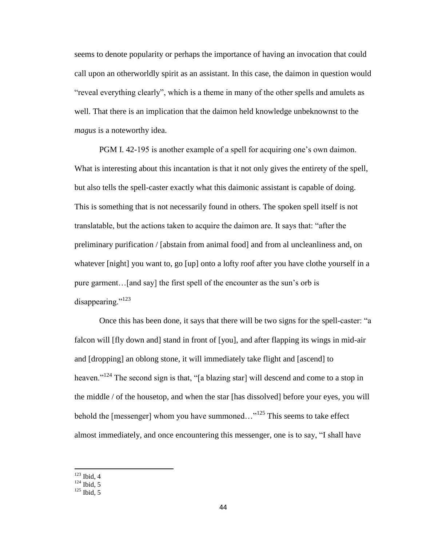seems to denote popularity or perhaps the importance of having an invocation that could call upon an otherworldly spirit as an assistant. In this case, the daimon in question would "reveal everything clearly", which is a theme in many of the other spells and amulets as well. That there is an implication that the daimon held knowledge unbeknownst to the *magus* is a noteworthy idea.

PGM I. 42-195 is another example of a spell for acquiring one's own daimon. What is interesting about this incantation is that it not only gives the entirety of the spell, but also tells the spell-caster exactly what this daimonic assistant is capable of doing. This is something that is not necessarily found in others. The spoken spell itself is not translatable, but the actions taken to acquire the daimon are. It says that: "after the preliminary purification / [abstain from animal food] and from al uncleanliness and, on whatever [night] you want to, go [up] onto a lofty roof after you have clothe yourself in a pure garment…[and say] the first spell of the encounter as the sun's orb is disappearing."<sup>123</sup>

Once this has been done, it says that there will be two signs for the spell-caster: "a falcon will [fly down and] stand in front of [you], and after flapping its wings in mid-air and [dropping] an oblong stone, it will immediately take flight and [ascend] to heaven."<sup>124</sup> The second sign is that, "[a blazing star] will descend and come to a stop in the middle / of the housetop, and when the star [has dissolved] before your eyes, you will behold the [messenger] whom you have summoned..."<sup>125</sup> This seems to take effect almost immediately, and once encountering this messenger, one is to say, "I shall have

 $123$  Ibid, 4

 $124$  Ibid, 5

 $125$  Ibid, 5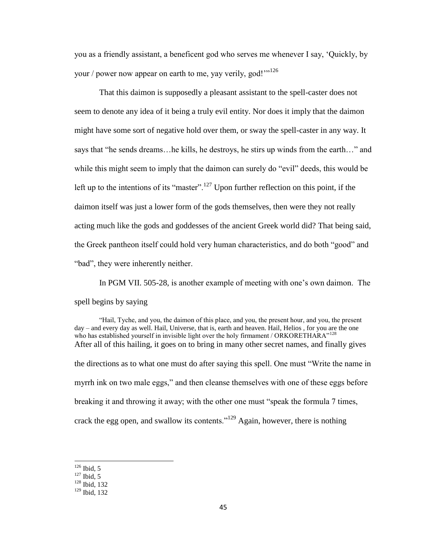you as a friendly assistant, a beneficent god who serves me whenever I say, 'Quickly, by your / power now appear on earth to me, yay verily, god!" $1^{126}$ 

That this daimon is supposedly a pleasant assistant to the spell-caster does not seem to denote any idea of it being a truly evil entity. Nor does it imply that the daimon might have some sort of negative hold over them, or sway the spell-caster in any way. It says that "he sends dreams…he kills, he destroys, he stirs up winds from the earth…" and while this might seem to imply that the daimon can surely do "evil" deeds, this would be left up to the intentions of its "master".<sup>127</sup> Upon further reflection on this point, if the daimon itself was just a lower form of the gods themselves, then were they not really acting much like the gods and goddesses of the ancient Greek world did? That being said, the Greek pantheon itself could hold very human characteristics, and do both "good" and "bad", they were inherently neither.

In PGM VII. 505-28, is another example of meeting with one's own daimon. The spell begins by saying

"Hail, Tyche, and you, the daimon of this place, and you, the present hour, and you, the present day – and every day as well. Hail, Universe, that is, earth and heaven. Hail, Helios , for you are the one who has established yourself in invisible light over the holy firmament / ORKORETHARA"<sup>128</sup> After all of this hailing, it goes on to bring in many other secret names, and finally gives the directions as to what one must do after saying this spell. One must "Write the name in myrrh ink on two male eggs," and then cleanse themselves with one of these eggs before breaking it and throwing it away; with the other one must "speak the formula 7 times, crack the egg open, and swallow its contents."<sup>129</sup> Again, however, there is nothing

 $126$  Ibid, 5

 $127$  Ibid, 5

<sup>128</sup> Ibid, 132

<sup>129</sup> Ibid, 132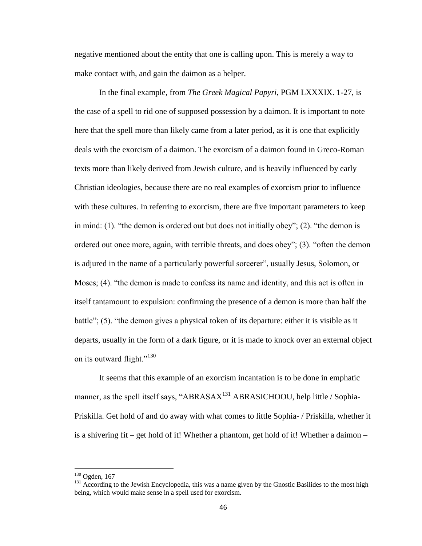negative mentioned about the entity that one is calling upon. This is merely a way to make contact with, and gain the daimon as a helper.

In the final example, from *The Greek Magical Papyri*, PGM LXXXIX. 1-27, is the case of a spell to rid one of supposed possession by a daimon. It is important to note here that the spell more than likely came from a later period, as it is one that explicitly deals with the exorcism of a daimon. The exorcism of a daimon found in Greco-Roman texts more than likely derived from Jewish culture, and is heavily influenced by early Christian ideologies, because there are no real examples of exorcism prior to influence with these cultures. In referring to exorcism, there are five important parameters to keep in mind: (1). "the demon is ordered out but does not initially obey"; (2). "the demon is ordered out once more, again, with terrible threats, and does obey"; (3). "often the demon is adjured in the name of a particularly powerful sorcerer", usually Jesus, Solomon, or Moses; (4). "the demon is made to confess its name and identity, and this act is often in itself tantamount to expulsion: confirming the presence of a demon is more than half the battle"; (5). "the demon gives a physical token of its departure: either it is visible as it departs, usually in the form of a dark figure, or it is made to knock over an external object on its outward flight."<sup>130</sup>

It seems that this example of an exorcism incantation is to be done in emphatic manner, as the spell itself says, "ABRASA $X<sup>131</sup>$  ABRASICHOOU, help little / Sophia-Priskilla. Get hold of and do away with what comes to little Sophia- / Priskilla, whether it is a shivering fit – get hold of it! Whether a phantom, get hold of it! Whether a daimon –

 $130$  Ogden, 167

<sup>&</sup>lt;sup>131</sup> According to the Jewish Encyclopedia, this was a name given by the Gnostic Basilides to the most high being, which would make sense in a spell used for exorcism.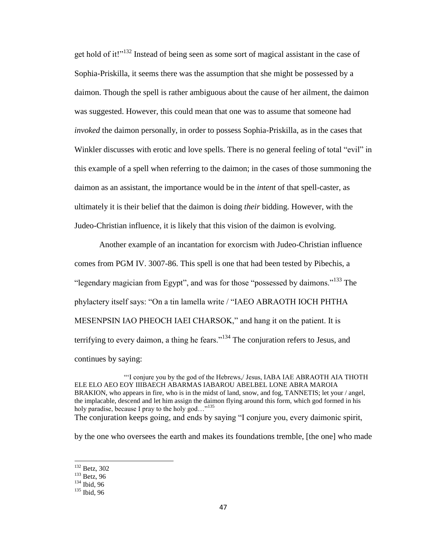get hold of it!"<sup>132</sup> Instead of being seen as some sort of magical assistant in the case of Sophia-Priskilla, it seems there was the assumption that she might be possessed by a daimon. Though the spell is rather ambiguous about the cause of her ailment, the daimon was suggested. However, this could mean that one was to assume that someone had *invoked* the daimon personally, in order to possess Sophia-Priskilla, as in the cases that Winkler discusses with erotic and love spells. There is no general feeling of total "evil" in this example of a spell when referring to the daimon; in the cases of those summoning the daimon as an assistant, the importance would be in the *intent* of that spell-caster, as ultimately it is their belief that the daimon is doing *their* bidding. However, with the Judeo-Christian influence, it is likely that this vision of the daimon is evolving.

Another example of an incantation for exorcism with Judeo-Christian influence comes from PGM IV. 3007-86. This spell is one that had been tested by Pibechis, a "legendary magician from Egypt", and was for those "possessed by daimons."<sup>133</sup> The phylactery itself says: "On a tin lamella write / "IAEO ABRAOTH IOCH PHTHA MESENPSIN IAO PHEOCH IAEI CHARSOK," and hang it on the patient. It is terrifying to every daimon, a thing he fears."<sup>134</sup> The conjuration refers to Jesus, and continues by saying:

"'I conjure you by the god of the Hebrews,/ Jesus, IABA IAE ABRAOTH AIA THOTH ELE ELO AEO EOY IIIBAECH ABARMAS IABAROU ABELBEL LONE ABRA MAROIA BRAKION, who appears in fire, who is in the midst of land, snow, and fog, TANNETIS; let your / angel, the implacable, descend and let him assign the daimon flying around this form, which god formed in his holy paradise, because I pray to the holy god..."<sup>135</sup> The conjuration keeps going, and ends by saying "I conjure you, every daimonic spirit,

by the one who oversees the earth and makes its foundations tremble, [the one] who made

<sup>&</sup>lt;sup>132</sup> Betz, 302

 $133$  Betz, 96

 $134$  Ibid, 96

<sup>135</sup> Ibid, 96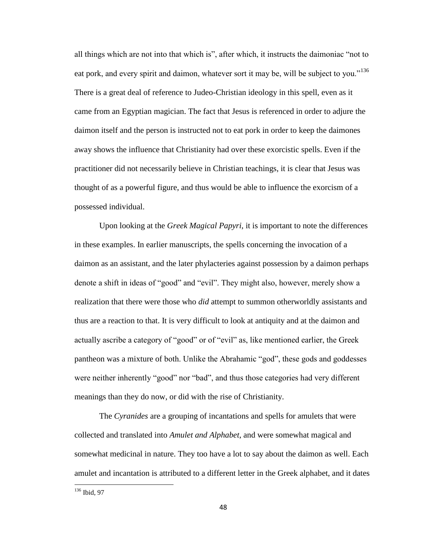all things which are not into that which is", after which, it instructs the daimoniac "not to eat pork, and every spirit and daimon, whatever sort it may be, will be subject to you."<sup>136</sup> There is a great deal of reference to Judeo-Christian ideology in this spell, even as it came from an Egyptian magician. The fact that Jesus is referenced in order to adjure the daimon itself and the person is instructed not to eat pork in order to keep the daimones away shows the influence that Christianity had over these exorcistic spells. Even if the practitioner did not necessarily believe in Christian teachings, it is clear that Jesus was thought of as a powerful figure, and thus would be able to influence the exorcism of a possessed individual.

Upon looking at the *Greek Magical Papyri*, it is important to note the differences in these examples. In earlier manuscripts, the spells concerning the invocation of a daimon as an assistant, and the later phylacteries against possession by a daimon perhaps denote a shift in ideas of "good" and "evil". They might also, however, merely show a realization that there were those who *did* attempt to summon otherworldly assistants and thus are a reaction to that. It is very difficult to look at antiquity and at the daimon and actually ascribe a category of "good" or of "evil" as, like mentioned earlier, the Greek pantheon was a mixture of both. Unlike the Abrahamic "god", these gods and goddesses were neither inherently "good" nor "bad", and thus those categories had very different meanings than they do now, or did with the rise of Christianity.

The *Cyranides* are a grouping of incantations and spells for amulets that were collected and translated into *Amulet and Alphabet*, and were somewhat magical and somewhat medicinal in nature. They too have a lot to say about the daimon as well. Each amulet and incantation is attributed to a different letter in the Greek alphabet, and it dates

 $136$  Ibid, 97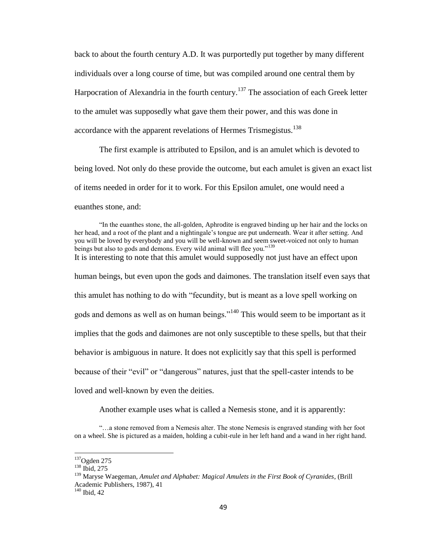back to about the fourth century A.D. It was purportedly put together by many different individuals over a long course of time, but was compiled around one central them by Harpocration of Alexandria in the fourth century.<sup>137</sup> The association of each Greek letter to the amulet was supposedly what gave them their power, and this was done in accordance with the apparent revelations of Hermes Trismegistus.<sup>138</sup>

The first example is attributed to Epsilon, and is an amulet which is devoted to being loved. Not only do these provide the outcome, but each amulet is given an exact list of items needed in order for it to work. For this Epsilon amulet, one would need a euanthes stone, and:

"In the euanthes stone, the all-golden, Aphrodite is engraved binding up her hair and the locks on her head, and a root of the plant and a nightingale's tongue are put underneath. Wear it after setting. And you will be loved by everybody and you will be well-known and seem sweet-voiced not only to human beings but also to gods and demons. Every wild animal will flee you."<sup>139</sup> It is interesting to note that this amulet would supposedly not just have an effect upon human beings, but even upon the gods and daimones. The translation itself even says that this amulet has nothing to do with "fecundity, but is meant as a love spell working on gods and demons as well as on human beings."<sup>140</sup> This would seem to be important as it implies that the gods and daimones are not only susceptible to these spells, but that their behavior is ambiguous in nature. It does not explicitly say that this spell is performed because of their "evil" or "dangerous" natures, just that the spell-caster intends to be loved and well-known by even the deities.

Another example uses what is called a Nemesis stone, and it is apparently:

"…a stone removed from a Nemesis alter. The stone Nemesis is engraved standing with her foot on a wheel. She is pictured as a maiden, holding a cubit-rule in her left hand and a wand in her right hand.

 $137$ Ogden 275

<sup>138</sup> Ibid, 275

<sup>139</sup> Maryse Waegeman, *Amulet and Alphabet: Magical Amulets in the First Book of Cyranides*, (Brill Academic Publishers, 1987), 41

 $140$  Ibid, 42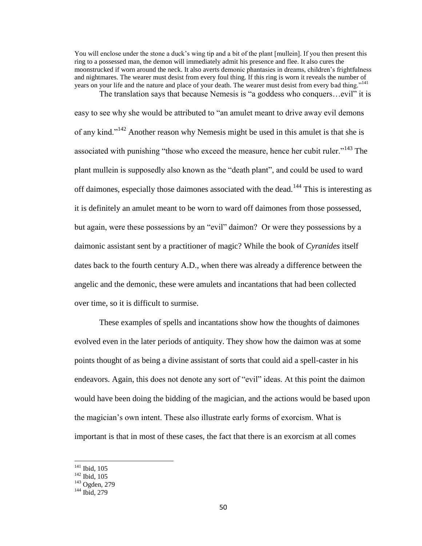You will enclose under the stone a duck's wing tip and a bit of the plant [mullein]. If you then present this ring to a possessed man, the demon will immediately admit his presence and flee. It also cures the moonstrucked if worn around the neck. It also averts demonic phantasies in dreams, children's frightfulness and nightmares. The wearer must desist from every foul thing. If this ring is worn it reveals the number of years on your life and the nature and place of your death. The wearer must desist from every bad thing."<sup>141</sup> The translation says that because Nemesis is "a goddess who conquers…evil" it is

easy to see why she would be attributed to "an amulet meant to drive away evil demons of any kind."<sup>142</sup> Another reason why Nemesis might be used in this amulet is that she is associated with punishing "those who exceed the measure, hence her cubit ruler."<sup>143</sup> The plant mullein is supposedly also known as the "death plant", and could be used to ward off daimones, especially those daimones associated with the dead.<sup>144</sup> This is interesting as it is definitely an amulet meant to be worn to ward off daimones from those possessed, but again, were these possessions by an "evil" daimon? Or were they possessions by a daimonic assistant sent by a practitioner of magic? While the book of *Cyranides* itself dates back to the fourth century A.D., when there was already a difference between the angelic and the demonic, these were amulets and incantations that had been collected over time, so it is difficult to surmise.

These examples of spells and incantations show how the thoughts of daimones evolved even in the later periods of antiquity. They show how the daimon was at some points thought of as being a divine assistant of sorts that could aid a spell-caster in his endeavors. Again, this does not denote any sort of "evil" ideas. At this point the daimon would have been doing the bidding of the magician, and the actions would be based upon the magician's own intent. These also illustrate early forms of exorcism. What is important is that in most of these cases, the fact that there is an exorcism at all comes

 $141$  Ibid, 105

<sup>142</sup> Ibid, 105

<sup>143</sup> Ogden, 279

<sup>&</sup>lt;sup>144</sup> Ibid, 279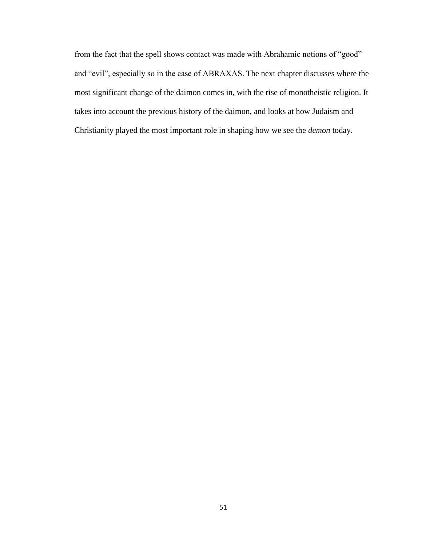from the fact that the spell shows contact was made with Abrahamic notions of "good" and "evil", especially so in the case of ABRAXAS. The next chapter discusses where the most significant change of the daimon comes in, with the rise of monotheistic religion. It takes into account the previous history of the daimon, and looks at how Judaism and Christianity played the most important role in shaping how we see the *demon* today.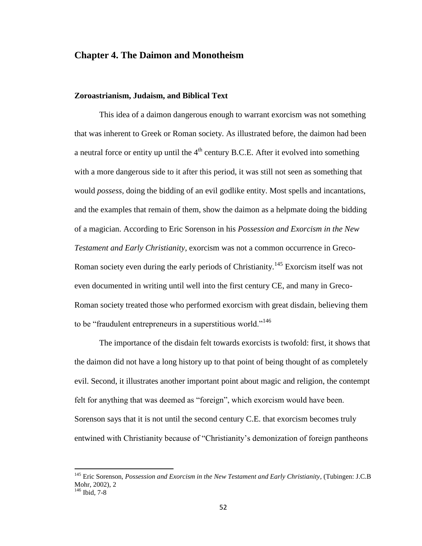# **Chapter 4. The Daimon and Monotheism**

### **Zoroastrianism, Judaism, and Biblical Text**

 $\overline{\phantom{a}}$ 

This idea of a daimon dangerous enough to warrant exorcism was not something that was inherent to Greek or Roman society. As illustrated before, the daimon had been a neutral force or entity up until the  $4<sup>th</sup>$  century B.C.E. After it evolved into something with a more dangerous side to it after this period, it was still not seen as something that would *possess,* doing the bidding of an evil godlike entity. Most spells and incantations, and the examples that remain of them, show the daimon as a helpmate doing the bidding of a magician. According to Eric Sorenson in his *Possession and Exorcism in the New Testament and Early Christianity*, exorcism was not a common occurrence in Greco-Roman society even during the early periods of Christianity.<sup>145</sup> Exorcism itself was not even documented in writing until well into the first century CE, and many in Greco-Roman society treated those who performed exorcism with great disdain, believing them to be "fraudulent entrepreneurs in a superstitious world."<sup>146</sup>

The importance of the disdain felt towards exorcists is twofold: first, it shows that the daimon did not have a long history up to that point of being thought of as completely evil. Second, it illustrates another important point about magic and religion, the contempt felt for anything that was deemed as "foreign", which exorcism would have been. Sorenson says that it is not until the second century C.E. that exorcism becomes truly entwined with Christianity because of "Christianity's demonization of foreign pantheons

<sup>145</sup> Eric Sorenson, *Possession and Exorcism in the New Testament and Early Christianity,* (Tubingen: J.C.B Mohr, 2002), 2 <sup>146</sup> Ibid, 7-8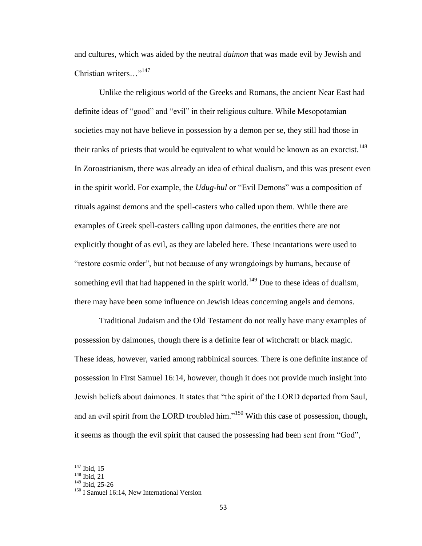and cultures, which was aided by the neutral *daimon* that was made evil by Jewish and Christian writers…"<sup>147</sup>

Unlike the religious world of the Greeks and Romans, the ancient Near East had definite ideas of "good" and "evil" in their religious culture. While Mesopotamian societies may not have believe in possession by a demon per se, they still had those in their ranks of priests that would be equivalent to what would be known as an exorcist.<sup>148</sup> In Zoroastrianism, there was already an idea of ethical dualism, and this was present even in the spirit world. For example, the *Udug-hul* or "Evil Demons" was a composition of rituals against demons and the spell-casters who called upon them. While there are examples of Greek spell-casters calling upon daimones, the entities there are not explicitly thought of as evil, as they are labeled here. These incantations were used to "restore cosmic order", but not because of any wrongdoings by humans, because of something evil that had happened in the spirit world.<sup>149</sup> Due to these ideas of dualism, there may have been some influence on Jewish ideas concerning angels and demons.

Traditional Judaism and the Old Testament do not really have many examples of possession by daimones, though there is a definite fear of witchcraft or black magic. These ideas, however, varied among rabbinical sources. There is one definite instance of possession in First Samuel 16:14, however, though it does not provide much insight into Jewish beliefs about daimones. It states that "the spirit of the LORD departed from Saul, and an evil spirit from the LORD troubled him."<sup>150</sup> With this case of possession, though, it seems as though the evil spirit that caused the possessing had been sent from "God",

 $147$  Ibid, 15

<sup>148</sup> Ibid, 21

<sup>&</sup>lt;sup>149</sup> Ibid, 25-26

<sup>&</sup>lt;sup>150</sup> I Samuel 16:14, New International Version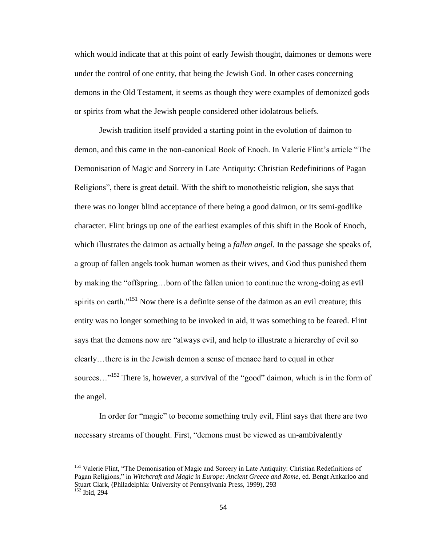which would indicate that at this point of early Jewish thought, daimones or demons were under the control of one entity, that being the Jewish God. In other cases concerning demons in the Old Testament, it seems as though they were examples of demonized gods or spirits from what the Jewish people considered other idolatrous beliefs.

Jewish tradition itself provided a starting point in the evolution of daimon to demon, and this came in the non-canonical Book of Enoch. In Valerie Flint's article "The Demonisation of Magic and Sorcery in Late Antiquity: Christian Redefinitions of Pagan Religions", there is great detail. With the shift to monotheistic religion, she says that there was no longer blind acceptance of there being a good daimon, or its semi-godlike character. Flint brings up one of the earliest examples of this shift in the Book of Enoch, which illustrates the daimon as actually being a *fallen angel*. In the passage she speaks of, a group of fallen angels took human women as their wives, and God thus punished them by making the "offspring…born of the fallen union to continue the wrong-doing as evil spirits on earth.<sup>"<sup>151</sup> Now there is a definite sense of the daimon as an evil creature; this</sup> entity was no longer something to be invoked in aid, it was something to be feared. Flint says that the demons now are "always evil, and help to illustrate a hierarchy of evil so clearly…there is in the Jewish demon a sense of menace hard to equal in other sources..."<sup>152</sup> There is, however, a survival of the "good" daimon, which is in the form of the angel.

In order for "magic" to become something truly evil, Flint says that there are two necessary streams of thought. First, "demons must be viewed as un-ambivalently

<sup>&</sup>lt;sup>151</sup> Valerie Flint, "The Demonisation of Magic and Sorcery in Late Antiquity: Christian Redefinitions of Pagan Religions," in *Witchcraft and Magic in Europe: Ancient Greece and Rome,* ed. Bengt Ankarloo and Stuart Clark, (Philadelphia: University of Pennsylvania Press, 1999), 293 <sup>152</sup> Ibid, 294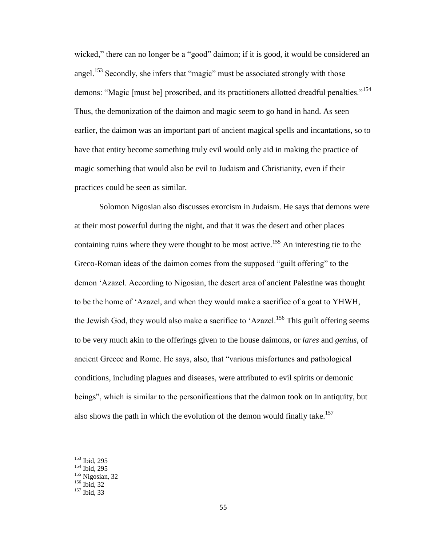wicked," there can no longer be a "good" daimon; if it is good, it would be considered an angel.<sup>153</sup> Secondly, she infers that "magic" must be associated strongly with those demons: "Magic [must be] proscribed, and its practitioners allotted dreadful penalties."<sup>154</sup> Thus, the demonization of the daimon and magic seem to go hand in hand. As seen earlier, the daimon was an important part of ancient magical spells and incantations, so to have that entity become something truly evil would only aid in making the practice of magic something that would also be evil to Judaism and Christianity, even if their practices could be seen as similar.

Solomon Nigosian also discusses exorcism in Judaism. He says that demons were at their most powerful during the night, and that it was the desert and other places containing ruins where they were thought to be most active.<sup>155</sup> An interesting tie to the Greco-Roman ideas of the daimon comes from the supposed "guilt offering" to the demon 'Azazel. According to Nigosian, the desert area of ancient Palestine was thought to be the home of 'Azazel, and when they would make a sacrifice of a goat to YHWH, the Jewish God, they would also make a sacrifice to 'Azazel.<sup>156</sup> This guilt offering seems to be very much akin to the offerings given to the house daimons, or *lares* and *genius*, of ancient Greece and Rome. He says, also, that "various misfortunes and pathological conditions, including plagues and diseases, were attributed to evil spirits or demonic beings", which is similar to the personifications that the daimon took on in antiquity, but also shows the path in which the evolution of the demon would finally take.<sup>157</sup>

<sup>153</sup> Ibid, 295

<sup>154</sup> Ibid, 295

 $155$  Nigosian, 32

 $156$  Ibid, 32

<sup>&</sup>lt;sup>157</sup> Ibid, 33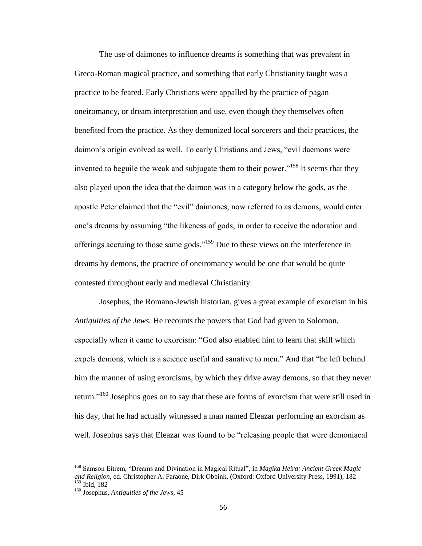The use of daimones to influence dreams is something that was prevalent in Greco-Roman magical practice, and something that early Christianity taught was a practice to be feared. Early Christians were appalled by the practice of pagan oneiromancy, or dream interpretation and use, even though they themselves often benefited from the practice. As they demonized local sorcerers and their practices, the daimon's origin evolved as well. To early Christians and Jews, "evil daemons were invented to beguile the weak and subjugate them to their power."<sup>158</sup> It seems that they also played upon the idea that the daimon was in a category below the gods, as the apostle Peter claimed that the "evil" daimones, now referred to as demons, would enter one's dreams by assuming "the likeness of gods, in order to receive the adoration and offerings accruing to those same gods."<sup>159</sup> Due to these views on the interference in dreams by demons, the practice of oneiromancy would be one that would be quite contested throughout early and medieval Christianity.

Josephus, the Romano-Jewish historian, gives a great example of exorcism in his *Antiquities of the Jews.* He recounts the powers that God had given to Solomon, especially when it came to exorcism: "God also enabled him to learn that skill which expels demons, which is a science useful and sanative to men." And that "he left behind him the manner of using exorcisms, by which they drive away demons, so that they never return."<sup>160</sup> Josephus goes on to say that these are forms of exorcism that were still used in his day, that he had actually witnessed a man named Eleazar performing an exorcism as well. Josephus says that Eleazar was found to be "releasing people that were demoniacal

<sup>158</sup> Samson Eitrem, "Dreams and Divination in Magical Ritual", in *Magika Heira: Ancient Greek Magic and Religion,* ed. Christopher A. Faraone, Dirk Obbink, (Oxford: Oxford University Press, 1991), 182  $\frac{159}{159}$  Ibid, 182

<sup>160</sup> Josephus, *Antiquities of the Jews*, 45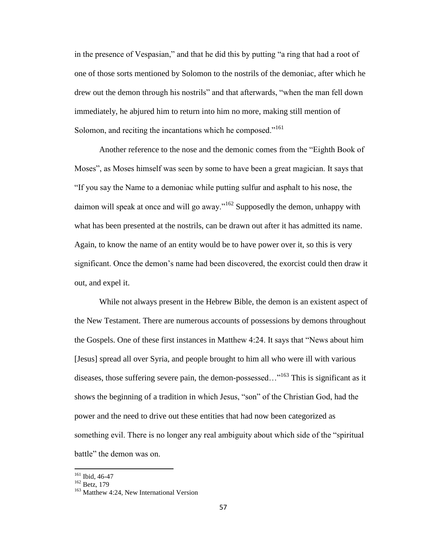in the presence of Vespasian," and that he did this by putting "a ring that had a root of one of those sorts mentioned by Solomon to the nostrils of the demoniac, after which he drew out the demon through his nostrils" and that afterwards, "when the man fell down immediately, he abjured him to return into him no more, making still mention of Solomon, and reciting the incantations which he composed."<sup>161</sup>

Another reference to the nose and the demonic comes from the "Eighth Book of Moses", as Moses himself was seen by some to have been a great magician. It says that "If you say the Name to a demoniac while putting sulfur and asphalt to his nose, the daimon will speak at once and will go away." $162$  Supposedly the demon, unhappy with what has been presented at the nostrils, can be drawn out after it has admitted its name. Again, to know the name of an entity would be to have power over it, so this is very significant. Once the demon's name had been discovered, the exorcist could then draw it out, and expel it.

While not always present in the Hebrew Bible, the demon is an existent aspect of the New Testament. There are numerous accounts of possessions by demons throughout the Gospels. One of these first instances in Matthew 4:24. It says that "News about him [Jesus] spread all over Syria, and people brought to him all who were ill with various diseases, those suffering severe pain, the demon-possessed..."<sup>163</sup> This is significant as it shows the beginning of a tradition in which Jesus, "son" of the Christian God, had the power and the need to drive out these entities that had now been categorized as something evil. There is no longer any real ambiguity about which side of the "spiritual battle" the demon was on.

 $161$  Ibid, 46-47

 $162$  Betz, 179

<sup>&</sup>lt;sup>163</sup> Matthew 4:24, New International Version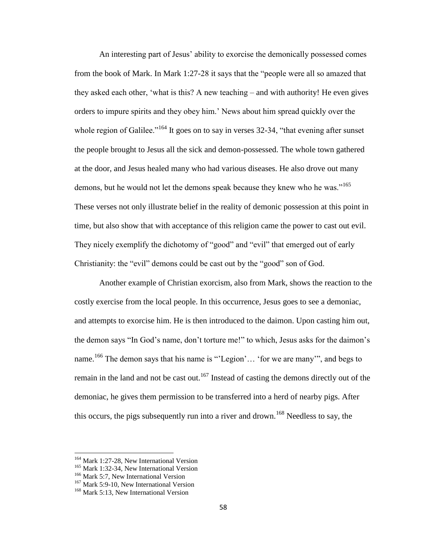An interesting part of Jesus' ability to exorcise the demonically possessed comes from the book of Mark. In Mark 1:27-28 it says that the "people were all so amazed that they asked each other, 'what is this? A new teaching – and with authority! He even gives orders to impure spirits and they obey him.' News about him spread quickly over the whole region of Galilee."<sup>164</sup> It goes on to say in verses 32-34, "that evening after sunset the people brought to Jesus all the sick and demon-possessed. The whole town gathered at the door, and Jesus healed many who had various diseases. He also drove out many demons, but he would not let the demons speak because they knew who he was."<sup>165</sup> These verses not only illustrate belief in the reality of demonic possession at this point in time, but also show that with acceptance of this religion came the power to cast out evil. They nicely exemplify the dichotomy of "good" and "evil" that emerged out of early Christianity: the "evil" demons could be cast out by the "good" son of God.

Another example of Christian exorcism, also from Mark, shows the reaction to the costly exercise from the local people. In this occurrence, Jesus goes to see a demoniac, and attempts to exorcise him. He is then introduced to the daimon. Upon casting him out, the demon says "In God's name, don't torture me!" to which, Jesus asks for the daimon's name.<sup>166</sup> The demon says that his name is "'Legion'... 'for we are many'", and begs to remain in the land and not be cast out.<sup>167</sup> Instead of casting the demons directly out of the demoniac, he gives them permission to be transferred into a herd of nearby pigs. After this occurs, the pigs subsequently run into a river and drown.<sup>168</sup> Needless to say, the

<sup>&</sup>lt;sup>164</sup> Mark 1:27-28, New International Version

<sup>&</sup>lt;sup>165</sup> Mark 1:32-34, New International Version

<sup>&</sup>lt;sup>166</sup> Mark 5:7, New International Version

<sup>&</sup>lt;sup>167</sup> Mark 5:9-10, New International Version

<sup>&</sup>lt;sup>168</sup> Mark 5:13, New International Version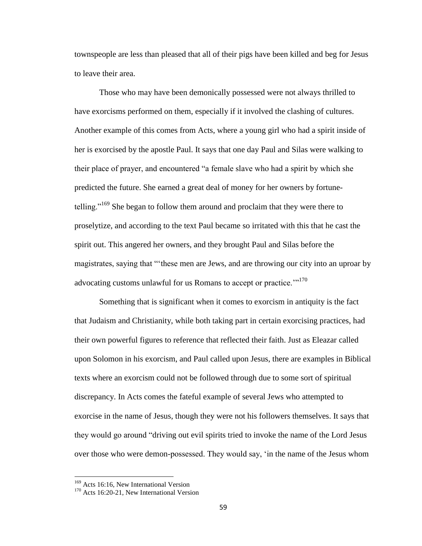townspeople are less than pleased that all of their pigs have been killed and beg for Jesus to leave their area.

Those who may have been demonically possessed were not always thrilled to have exorcisms performed on them, especially if it involved the clashing of cultures. Another example of this comes from Acts, where a young girl who had a spirit inside of her is exorcised by the apostle Paul. It says that one day Paul and Silas were walking to their place of prayer, and encountered "a female slave who had a spirit by which she predicted the future. She earned a great deal of money for her owners by fortunetelling."<sup>169</sup> She began to follow them around and proclaim that they were there to proselytize, and according to the text Paul became so irritated with this that he cast the spirit out. This angered her owners, and they brought Paul and Silas before the magistrates, saying that "'these men are Jews, and are throwing our city into an uproar by advocating customs unlawful for us Romans to accept or practice."<sup>170</sup>

Something that is significant when it comes to exorcism in antiquity is the fact that Judaism and Christianity, while both taking part in certain exorcising practices, had their own powerful figures to reference that reflected their faith. Just as Eleazar called upon Solomon in his exorcism, and Paul called upon Jesus, there are examples in Biblical texts where an exorcism could not be followed through due to some sort of spiritual discrepancy. In Acts comes the fateful example of several Jews who attempted to exorcise in the name of Jesus, though they were not his followers themselves. It says that they would go around "driving out evil spirits tried to invoke the name of the Lord Jesus over those who were demon-possessed. They would say, 'in the name of the Jesus whom

<sup>&</sup>lt;sup>169</sup> Acts 16:16, New International Version

<sup>&</sup>lt;sup>170</sup> Acts 16:20-21, New International Version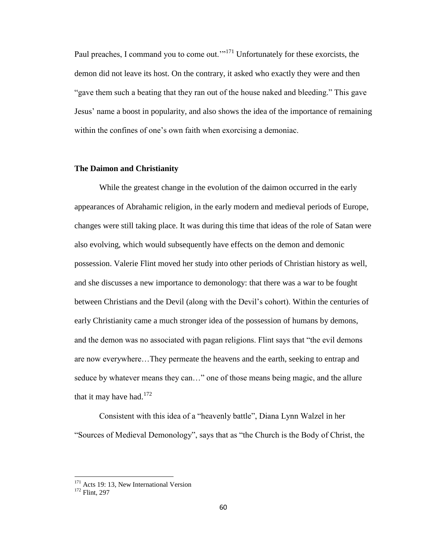Paul preaches, I command you to come out."<sup>171</sup> Unfortunately for these exorcists, the demon did not leave its host. On the contrary, it asked who exactly they were and then "gave them such a beating that they ran out of the house naked and bleeding." This gave Jesus' name a boost in popularity, and also shows the idea of the importance of remaining within the confines of one's own faith when exorcising a demoniac.

## **The Daimon and Christianity**

While the greatest change in the evolution of the daimon occurred in the early appearances of Abrahamic religion, in the early modern and medieval periods of Europe, changes were still taking place. It was during this time that ideas of the role of Satan were also evolving, which would subsequently have effects on the demon and demonic possession. Valerie Flint moved her study into other periods of Christian history as well, and she discusses a new importance to demonology: that there was a war to be fought between Christians and the Devil (along with the Devil's cohort). Within the centuries of early Christianity came a much stronger idea of the possession of humans by demons, and the demon was no associated with pagan religions. Flint says that "the evil demons are now everywhere…They permeate the heavens and the earth, seeking to entrap and seduce by whatever means they can…" one of those means being magic, and the allure that it may have had.<sup>172</sup>

Consistent with this idea of a "heavenly battle", Diana Lynn Walzel in her "Sources of Medieval Demonology", says that as "the Church is the Body of Christ, the

<sup>&</sup>lt;sup>171</sup> Acts 19: 13, New International Version

<sup>172</sup> Flint, 297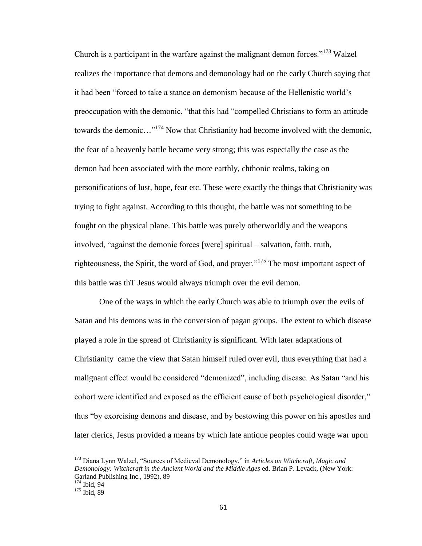Church is a participant in the warfare against the malignant demon forces.<sup> $173$ </sup> Walzel realizes the importance that demons and demonology had on the early Church saying that it had been "forced to take a stance on demonism because of the Hellenistic world's preoccupation with the demonic, "that this had "compelled Christians to form an attitude towards the demonic...<sup>"174</sup> Now that Christianity had become involved with the demonic, the fear of a heavenly battle became very strong; this was especially the case as the demon had been associated with the more earthly, chthonic realms, taking on personifications of lust, hope, fear etc. These were exactly the things that Christianity was trying to fight against. According to this thought, the battle was not something to be fought on the physical plane. This battle was purely otherworldly and the weapons involved, "against the demonic forces [were] spiritual – salvation, faith, truth, righteousness, the Spirit, the word of God, and prayer."<sup>175</sup> The most important aspect of this battle was thT Jesus would always triumph over the evil demon.

One of the ways in which the early Church was able to triumph over the evils of Satan and his demons was in the conversion of pagan groups. The extent to which disease played a role in the spread of Christianity is significant. With later adaptations of Christianity came the view that Satan himself ruled over evil, thus everything that had a malignant effect would be considered "demonized", including disease. As Satan "and his cohort were identified and exposed as the efficient cause of both psychological disorder," thus "by exorcising demons and disease, and by bestowing this power on his apostles and later clerics, Jesus provided a means by which late antique peoples could wage war upon

<sup>173</sup> Diana Lynn Walzel, "Sources of Medieval Demonology," in *Articles on Witchcraft, Magic and Demonology: Witchcraft in the Ancient World and the Middle Ages* ed. Brian P. Levack, (New York: Garland Publishing Inc., 1992), 89 <sup>174</sup> Ibid, 94

<sup>175</sup> Ibid, 89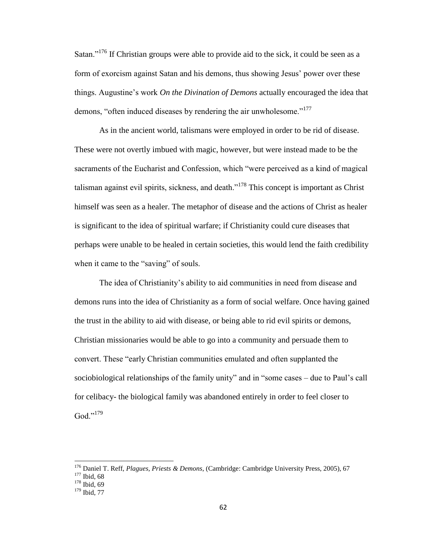Satan."<sup>176</sup> If Christian groups were able to provide aid to the sick, it could be seen as a form of exorcism against Satan and his demons, thus showing Jesus' power over these things. Augustine's work *On the Divination of Demons* actually encouraged the idea that demons, "often induced diseases by rendering the air unwholesome."<sup>177</sup>

As in the ancient world, talismans were employed in order to be rid of disease. These were not overtly imbued with magic, however, but were instead made to be the sacraments of the Eucharist and Confession, which "were perceived as a kind of magical talisman against evil spirits, sickness, and death. $178$  This concept is important as Christ himself was seen as a healer. The metaphor of disease and the actions of Christ as healer is significant to the idea of spiritual warfare; if Christianity could cure diseases that perhaps were unable to be healed in certain societies, this would lend the faith credibility when it came to the "saving" of souls.

The idea of Christianity's ability to aid communities in need from disease and demons runs into the idea of Christianity as a form of social welfare. Once having gained the trust in the ability to aid with disease, or being able to rid evil spirits or demons, Christian missionaries would be able to go into a community and persuade them to convert. These "early Christian communities emulated and often supplanted the sociobiological relationships of the family unity" and in "some cases – due to Paul's call for celibacy- the biological family was abandoned entirely in order to feel closer to God."<sup>179</sup>

<sup>176</sup> Daniel T. Reff, *Plagues, Priests & Demons*, (Cambridge: Cambridge University Press, 2005), 67

 $177$  Ibid, 68

 $178$  Ibid, 69

<sup>179</sup> Ibid, 77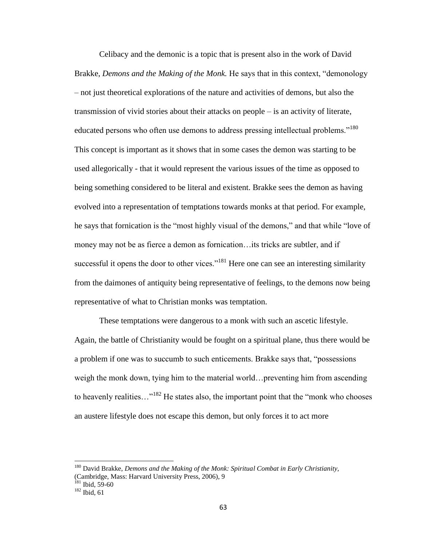Celibacy and the demonic is a topic that is present also in the work of David Brakke, *Demons and the Making of the Monk.* He says that in this context, "demonology – not just theoretical explorations of the nature and activities of demons, but also the transmission of vivid stories about their attacks on people – is an activity of literate, educated persons who often use demons to address pressing intellectual problems."<sup>180</sup> This concept is important as it shows that in some cases the demon was starting to be used allegorically - that it would represent the various issues of the time as opposed to being something considered to be literal and existent. Brakke sees the demon as having evolved into a representation of temptations towards monks at that period. For example, he says that fornication is the "most highly visual of the demons," and that while "love of money may not be as fierce a demon as fornication…its tricks are subtler, and if successful it opens the door to other vices.<sup> $181$ </sup> Here one can see an interesting similarity from the daimones of antiquity being representative of feelings, to the demons now being representative of what to Christian monks was temptation.

These temptations were dangerous to a monk with such an ascetic lifestyle. Again, the battle of Christianity would be fought on a spiritual plane, thus there would be a problem if one was to succumb to such enticements. Brakke says that, "possessions weigh the monk down, tying him to the material world…preventing him from ascending to heavenly realities..."<sup>182</sup> He states also, the important point that the "monk who chooses" an austere lifestyle does not escape this demon, but only forces it to act more

<sup>180</sup> David Brakke, *Demons and the Making of the Monk: Spiritual Combat in Early Christianity,*  (Cambridge, Mass: Harvard University Press, 2006), 9

 $181$  Ibid, 59-60

<sup>182</sup> Ibid, 61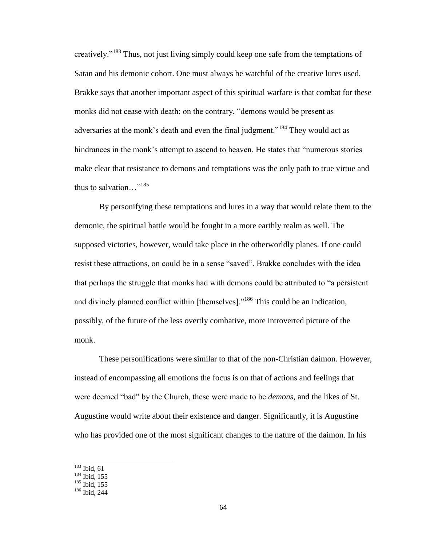creatively."<sup>183</sup> Thus, not just living simply could keep one safe from the temptations of Satan and his demonic cohort. One must always be watchful of the creative lures used. Brakke says that another important aspect of this spiritual warfare is that combat for these monks did not cease with death; on the contrary, "demons would be present as adversaries at the monk's death and even the final judgment."<sup>184</sup> They would act as hindrances in the monk's attempt to ascend to heaven. He states that "numerous stories make clear that resistance to demons and temptations was the only path to true virtue and thus to salvation $\ldots$ <sup>"185</sup>

By personifying these temptations and lures in a way that would relate them to the demonic, the spiritual battle would be fought in a more earthly realm as well. The supposed victories, however, would take place in the otherworldly planes. If one could resist these attractions, on could be in a sense "saved". Brakke concludes with the idea that perhaps the struggle that monks had with demons could be attributed to "a persistent and divinely planned conflict within [themselves]."<sup>186</sup> This could be an indication, possibly, of the future of the less overtly combative, more introverted picture of the monk.

These personifications were similar to that of the non-Christian daimon. However, instead of encompassing all emotions the focus is on that of actions and feelings that were deemed "bad" by the Church, these were made to be *demons,* and the likes of St. Augustine would write about their existence and danger. Significantly, it is Augustine who has provided one of the most significant changes to the nature of the daimon. In his

 $183$  Ibid, 61

 $184$  Ibid, 155

 $185$  Ibid, 155

<sup>186</sup> Ibid, 244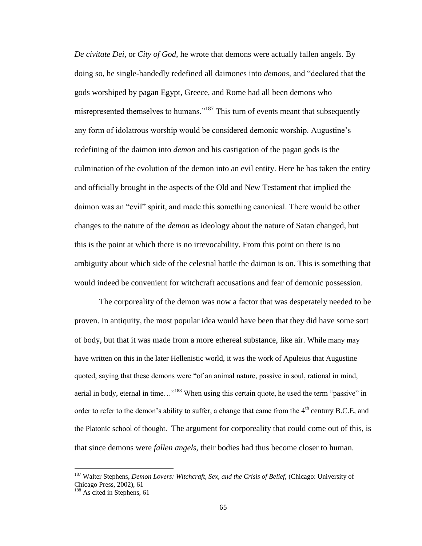*De civitate Dei,* or *City of God,* he wrote that demons were actually fallen angels. By doing so, he single-handedly redefined all daimones into *demons,* and "declared that the gods worshiped by pagan Egypt, Greece, and Rome had all been demons who misrepresented themselves to humans."<sup>187</sup> This turn of events meant that subsequently any form of idolatrous worship would be considered demonic worship. Augustine's redefining of the daimon into *demon* and his castigation of the pagan gods is the culmination of the evolution of the demon into an evil entity. Here he has taken the entity and officially brought in the aspects of the Old and New Testament that implied the daimon was an "evil" spirit, and made this something canonical. There would be other changes to the nature of the *demon* as ideology about the nature of Satan changed, but this is the point at which there is no irrevocability. From this point on there is no ambiguity about which side of the celestial battle the daimon is on. This is something that would indeed be convenient for witchcraft accusations and fear of demonic possession.

The corporeality of the demon was now a factor that was desperately needed to be proven. In antiquity, the most popular idea would have been that they did have some sort of body, but that it was made from a more ethereal substance, like air. While many may have written on this in the later Hellenistic world, it was the work of Apuleius that Augustine quoted, saying that these demons were "of an animal nature, passive in soul, rational in mind, aerial in body, eternal in time…"<sup>188</sup> When using this certain quote, he used the term "passive" in order to refer to the demon's ability to suffer, a change that came from the  $4<sup>th</sup>$  century B.C.E, and the Platonic school of thought. The argument for corporeality that could come out of this, is that since demons were *fallen angels*, their bodies had thus become closer to human.

<sup>&</sup>lt;sup>187</sup> Walter Stephens, *Demon Lovers: Witchcraft, Sex, and the Crisis of Belief, (Chicago: University of* Chicago Press, 2002), 61

<sup>&</sup>lt;sup>188</sup> As cited in Stephens, 61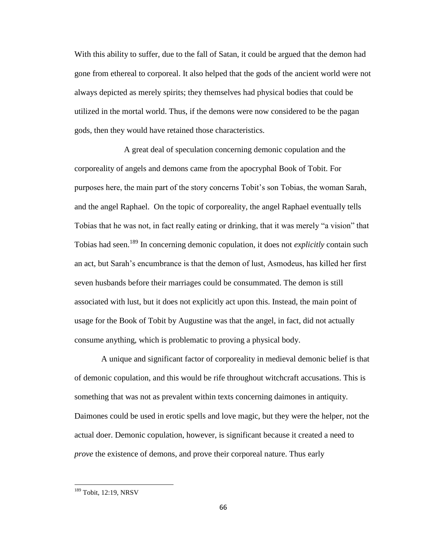With this ability to suffer, due to the fall of Satan, it could be argued that the demon had gone from ethereal to corporeal. It also helped that the gods of the ancient world were not always depicted as merely spirits; they themselves had physical bodies that could be utilized in the mortal world. Thus, if the demons were now considered to be the pagan gods, then they would have retained those characteristics.

A great deal of speculation concerning demonic copulation and the corporeality of angels and demons came from the apocryphal Book of Tobit. For purposes here, the main part of the story concerns Tobit's son Tobias, the woman Sarah, and the angel Raphael. On the topic of corporeality, the angel Raphael eventually tells Tobias that he was not, in fact really eating or drinking, that it was merely "a vision" that Tobias had seen.<sup>189</sup> In concerning demonic copulation, it does not *explicitly* contain such an act, but Sarah's encumbrance is that the demon of lust, Asmodeus, has killed her first seven husbands before their marriages could be consummated. The demon is still associated with lust, but it does not explicitly act upon this. Instead, the main point of usage for the Book of Tobit by Augustine was that the angel, in fact, did not actually consume anything, which is problematic to proving a physical body.

A unique and significant factor of corporeality in medieval demonic belief is that of demonic copulation, and this would be rife throughout witchcraft accusations. This is something that was not as prevalent within texts concerning daimones in antiquity. Daimones could be used in erotic spells and love magic, but they were the helper, not the actual doer. Demonic copulation, however, is significant because it created a need to *prove* the existence of demons, and prove their corporeal nature. Thus early

<sup>&</sup>lt;sup>189</sup> Tobit, 12:19, NRSV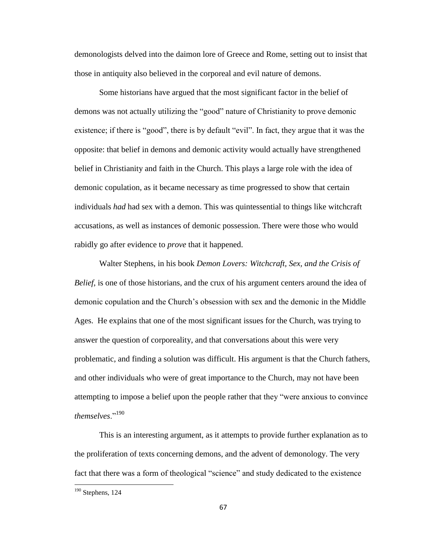demonologists delved into the daimon lore of Greece and Rome, setting out to insist that those in antiquity also believed in the corporeal and evil nature of demons.

Some historians have argued that the most significant factor in the belief of demons was not actually utilizing the "good" nature of Christianity to prove demonic existence; if there is "good", there is by default "evil". In fact, they argue that it was the opposite: that belief in demons and demonic activity would actually have strengthened belief in Christianity and faith in the Church. This plays a large role with the idea of demonic copulation, as it became necessary as time progressed to show that certain individuals *had* had sex with a demon. This was quintessential to things like witchcraft accusations, as well as instances of demonic possession. There were those who would rabidly go after evidence to *prove* that it happened.

Walter Stephens, in his book *Demon Lovers: Witchcraft, Sex, and the Crisis of Belief,* is one of those historians, and the crux of his argument centers around the idea of demonic copulation and the Church's obsession with sex and the demonic in the Middle Ages. He explains that one of the most significant issues for the Church, was trying to answer the question of corporeality, and that conversations about this were very problematic, and finding a solution was difficult. His argument is that the Church fathers, and other individuals who were of great importance to the Church, may not have been attempting to impose a belief upon the people rather that they "were anxious to convince *themselves*."<sup>190</sup>

This is an interesting argument, as it attempts to provide further explanation as to the proliferation of texts concerning demons, and the advent of demonology. The very fact that there was a form of theological "science" and study dedicated to the existence

 $190$  Stephens, 124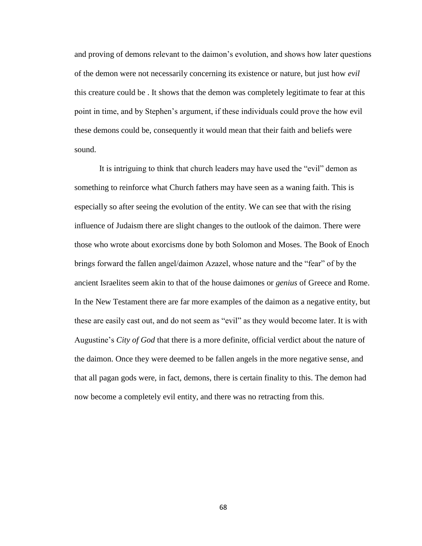and proving of demons relevant to the daimon's evolution, and shows how later questions of the demon were not necessarily concerning its existence or nature, but just how *evil*  this creature could be . It shows that the demon was completely legitimate to fear at this point in time, and by Stephen's argument, if these individuals could prove the how evil these demons could be, consequently it would mean that their faith and beliefs were sound.

It is intriguing to think that church leaders may have used the "evil" demon as something to reinforce what Church fathers may have seen as a waning faith. This is especially so after seeing the evolution of the entity. We can see that with the rising influence of Judaism there are slight changes to the outlook of the daimon. There were those who wrote about exorcisms done by both Solomon and Moses. The Book of Enoch brings forward the fallen angel/daimon Azazel, whose nature and the "fear" of by the ancient Israelites seem akin to that of the house daimones or *genius* of Greece and Rome. In the New Testament there are far more examples of the daimon as a negative entity, but these are easily cast out, and do not seem as "evil" as they would become later. It is with Augustine's *City of God* that there is a more definite, official verdict about the nature of the daimon. Once they were deemed to be fallen angels in the more negative sense, and that all pagan gods were, in fact, demons, there is certain finality to this. The demon had now become a completely evil entity, and there was no retracting from this.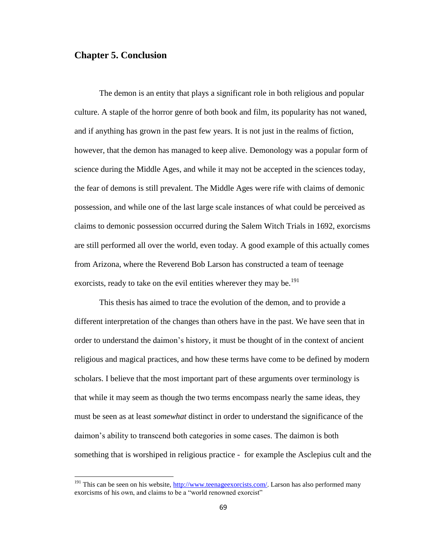## **Chapter 5. Conclusion**

 $\overline{\phantom{a}}$ 

The demon is an entity that plays a significant role in both religious and popular culture. A staple of the horror genre of both book and film, its popularity has not waned, and if anything has grown in the past few years. It is not just in the realms of fiction, however, that the demon has managed to keep alive. Demonology was a popular form of science during the Middle Ages, and while it may not be accepted in the sciences today, the fear of demons is still prevalent. The Middle Ages were rife with claims of demonic possession, and while one of the last large scale instances of what could be perceived as claims to demonic possession occurred during the Salem Witch Trials in 1692, exorcisms are still performed all over the world, even today. A good example of this actually comes from Arizona, where the Reverend Bob Larson has constructed a team of teenage exorcists, ready to take on the evil entities wherever they may be.<sup>191</sup>

This thesis has aimed to trace the evolution of the demon, and to provide a different interpretation of the changes than others have in the past. We have seen that in order to understand the daimon's history, it must be thought of in the context of ancient religious and magical practices, and how these terms have come to be defined by modern scholars. I believe that the most important part of these arguments over terminology is that while it may seem as though the two terms encompass nearly the same ideas, they must be seen as at least *somewhat* distinct in order to understand the significance of the daimon's ability to transcend both categories in some cases. The daimon is both something that is worshiped in religious practice - for example the Asclepius cult and the

<sup>&</sup>lt;sup>191</sup> This can be seen on his website,  $\frac{http://www.teenageexorcists.com/}{http://www.teenageexorcists.com/}$ . Larson has also performed many exorcisms of his own, and claims to be a "world renowned exorcist"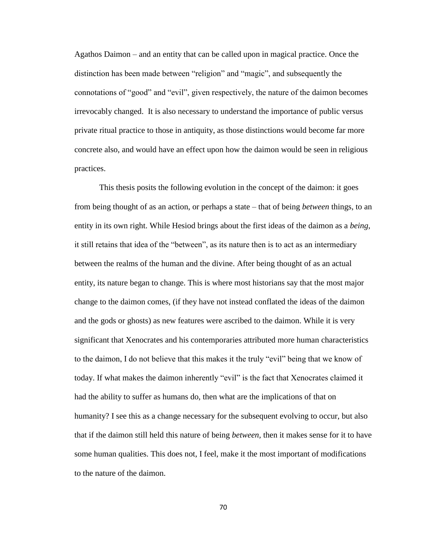Agathos Daimon – and an entity that can be called upon in magical practice. Once the distinction has been made between "religion" and "magic", and subsequently the connotations of "good" and "evil", given respectively, the nature of the daimon becomes irrevocably changed. It is also necessary to understand the importance of public versus private ritual practice to those in antiquity, as those distinctions would become far more concrete also, and would have an effect upon how the daimon would be seen in religious practices.

This thesis posits the following evolution in the concept of the daimon: it goes from being thought of as an action, or perhaps a state – that of being *between* things, to an entity in its own right. While Hesiod brings about the first ideas of the daimon as a *being*, it still retains that idea of the "between", as its nature then is to act as an intermediary between the realms of the human and the divine. After being thought of as an actual entity, its nature began to change. This is where most historians say that the most major change to the daimon comes, (if they have not instead conflated the ideas of the daimon and the gods or ghosts) as new features were ascribed to the daimon. While it is very significant that Xenocrates and his contemporaries attributed more human characteristics to the daimon, I do not believe that this makes it the truly "evil" being that we know of today. If what makes the daimon inherently "evil" is the fact that Xenocrates claimed it had the ability to suffer as humans do, then what are the implications of that on humanity? I see this as a change necessary for the subsequent evolving to occur, but also that if the daimon still held this nature of being *between,* then it makes sense for it to have some human qualities. This does not, I feel, make it the most important of modifications to the nature of the daimon.

70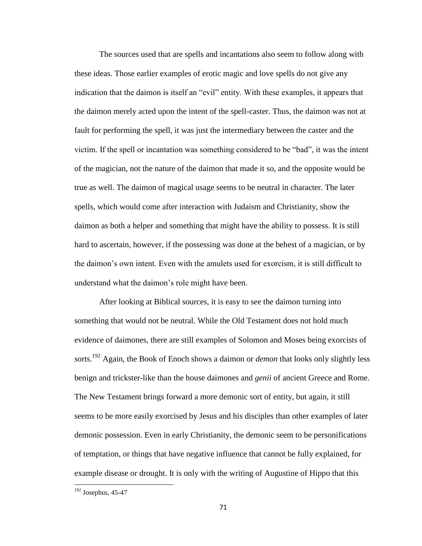The sources used that are spells and incantations also seem to follow along with these ideas. Those earlier examples of erotic magic and love spells do not give any indication that the daimon is itself an "evil" entity. With these examples, it appears that the daimon merely acted upon the intent of the spell-caster. Thus, the daimon was not at fault for performing the spell, it was just the intermediary between the caster and the victim. If the spell or incantation was something considered to be "bad", it was the intent of the magician, not the nature of the daimon that made it so, and the opposite would be true as well. The daimon of magical usage seems to be neutral in character. The later spells, which would come after interaction with Judaism and Christianity, show the daimon as both a helper and something that might have the ability to possess. It is still hard to ascertain, however, if the possessing was done at the behest of a magician, or by the daimon's own intent. Even with the amulets used for exorcism, it is still difficult to understand what the daimon's role might have been.

After looking at Biblical sources, it is easy to see the daimon turning into something that would not be neutral. While the Old Testament does not hold much evidence of daimones, there are still examples of Solomon and Moses being exorcists of sorts.<sup>192</sup> Again, the Book of Enoch shows a daimon or *demon* that looks only slightly less benign and trickster-like than the house daimones and *genii* of ancient Greece and Rome. The New Testament brings forward a more demonic sort of entity, but again, it still seems to be more easily exorcised by Jesus and his disciples than other examples of later demonic possession. Even in early Christianity, the demonic seem to be personifications of temptation, or things that have negative influence that cannot be fully explained, for example disease or drought. It is only with the writing of Augustine of Hippo that this

 $\overline{\phantom{a}}$ 

 $192$  Josephus, 45-47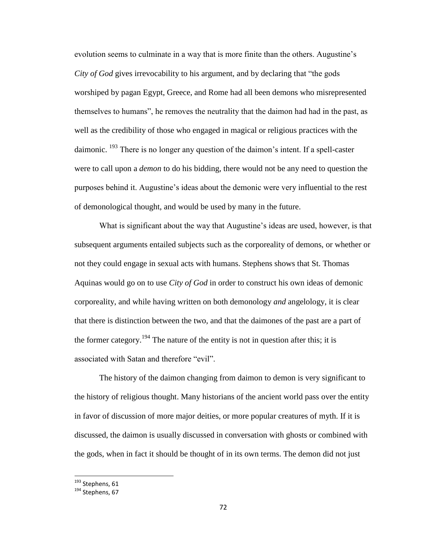evolution seems to culminate in a way that is more finite than the others. Augustine's *City of God* gives irrevocability to his argument, and by declaring that "the gods worshiped by pagan Egypt, Greece, and Rome had all been demons who misrepresented themselves to humans", he removes the neutrality that the daimon had had in the past, as well as the credibility of those who engaged in magical or religious practices with the daimonic.  $^{193}$  There is no longer any question of the daimon's intent. If a spell-caster were to call upon a *demon* to do his bidding, there would not be any need to question the purposes behind it. Augustine's ideas about the demonic were very influential to the rest of demonological thought, and would be used by many in the future.

What is significant about the way that Augustine's ideas are used, however, is that subsequent arguments entailed subjects such as the corporeality of demons, or whether or not they could engage in sexual acts with humans. Stephens shows that St. Thomas Aquinas would go on to use *City of God* in order to construct his own ideas of demonic corporeality, and while having written on both demonology *and* angelology, it is clear that there is distinction between the two, and that the daimones of the past are a part of the former category.<sup>194</sup> The nature of the entity is not in question after this; it is associated with Satan and therefore "evil".

The history of the daimon changing from daimon to demon is very significant to the history of religious thought. Many historians of the ancient world pass over the entity in favor of discussion of more major deities, or more popular creatures of myth. If it is discussed, the daimon is usually discussed in conversation with ghosts or combined with the gods, when in fact it should be thought of in its own terms. The demon did not just

l

<sup>&</sup>lt;sup>193</sup> Stephens, 61

<sup>&</sup>lt;sup>194</sup> Stephens, 67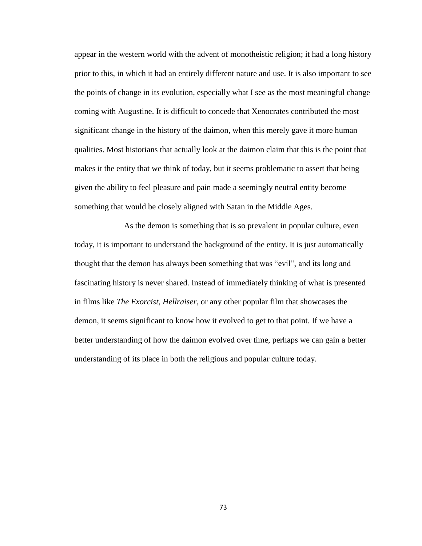appear in the western world with the advent of monotheistic religion; it had a long history prior to this, in which it had an entirely different nature and use. It is also important to see the points of change in its evolution, especially what I see as the most meaningful change coming with Augustine. It is difficult to concede that Xenocrates contributed the most significant change in the history of the daimon, when this merely gave it more human qualities. Most historians that actually look at the daimon claim that this is the point that makes it the entity that we think of today, but it seems problematic to assert that being given the ability to feel pleasure and pain made a seemingly neutral entity become something that would be closely aligned with Satan in the Middle Ages.

As the demon is something that is so prevalent in popular culture, even today, it is important to understand the background of the entity. It is just automatically thought that the demon has always been something that was "evil", and its long and fascinating history is never shared. Instead of immediately thinking of what is presented in films like *The Exorcist*, *Hellraiser*, or any other popular film that showcases the demon, it seems significant to know how it evolved to get to that point. If we have a better understanding of how the daimon evolved over time, perhaps we can gain a better understanding of its place in both the religious and popular culture today.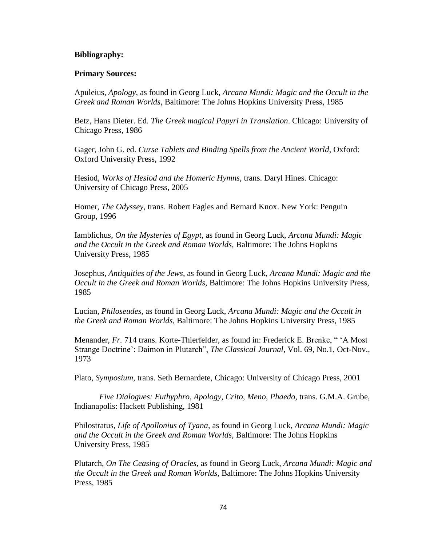## **Bibliography:**

## **Primary Sources:**

Apuleius, *Apology*, as found in Georg Luck, *Arcana Mundi: Magic and the Occult in the Greek and Roman Worlds,* Baltimore: The Johns Hopkins University Press, 1985

Betz, Hans Dieter. Ed. *The Greek magical Papyri in Translation*. Chicago: University of Chicago Press, 1986

Gager, John G. ed. *Curse Tablets and Binding Spells from the Ancient World*, Oxford: Oxford University Press, 1992

Hesiod, *Works of Hesiod and the Homeric Hymns*, trans. Daryl Hines. Chicago: University of Chicago Press, 2005

Homer, *The Odyssey*, trans. Robert Fagles and Bernard Knox. New York: Penguin Group, 1996

Iamblichus, *On the Mysteries of Egypt,* as found in Georg Luck, *Arcana Mundi: Magic and the Occult in the Greek and Roman Worlds,* Baltimore: The Johns Hopkins University Press, 1985

Josephus, *Antiquities of the Jews*, as found in Georg Luck, *Arcana Mundi: Magic and the Occult in the Greek and Roman Worlds,* Baltimore: The Johns Hopkins University Press, 1985

Lucian, *Philoseudes*, as found in Georg Luck, *Arcana Mundi: Magic and the Occult in the Greek and Roman Worlds,* Baltimore: The Johns Hopkins University Press, 1985

Menander, *Fr.* 714 trans. Korte-Thierfelder, as found in: Frederick E. Brenke, " 'A Most Strange Doctrine': Daimon in Plutarch", *The Classical Journal*, Vol. 69, No.1, Oct-Nov., 1973

Plato, *Symposium*, trans. Seth Bernardete, Chicago: University of Chicago Press, 2001

*Five Dialogues: Euthyphro, Apology, Crito, Meno, Phaedo, trans. G.M.A. Grube,* Indianapolis: Hackett Publishing, 1981

Philostratus, *Life of Apollonius of Tyana*, as found in Georg Luck, *Arcana Mundi: Magic and the Occult in the Greek and Roman Worlds,* Baltimore: The Johns Hopkins University Press, 1985

Plutarch, *On The Ceasing of Oracles*, as found in Georg Luck, *Arcana Mundi: Magic and the Occult in the Greek and Roman Worlds,* Baltimore: The Johns Hopkins University Press, 1985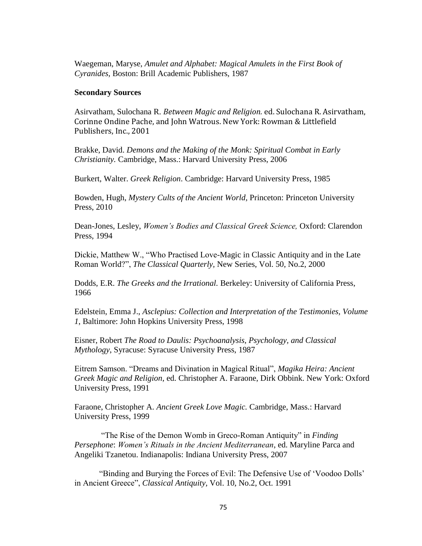Waegeman, Maryse, *Amulet and Alphabet: Magical Amulets in the First Book of Cyranides,* Boston: Brill Academic Publishers, 1987

#### **Secondary Sources**

Asirvatham, Sulochana R. *Between Magic and Religion.* ed. Sulochana R. Asirvatham, Corinne Ondine Pache, and John Watrous. New York: Rowman & Littlefield Publishers, Inc., 2001

Brakke, David. *Demons and the Making of the Monk: Spiritual Combat in Early Christianity.* Cambridge, Mass.: Harvard University Press, 2006

Burkert, Walter. *Greek Religion*. Cambridge: Harvard University Press, 1985

Bowden, Hugh, *Mystery Cults of the Ancient World,* Princeton: Princeton University Press, 2010

Dean-Jones, Lesley, *Women's Bodies and Classical Greek Science,* Oxford: Clarendon Press, 1994

Dickie, Matthew W., "Who Practised Love-Magic in Classic Antiquity and in the Late Roman World?", *The Classical Quarterly,* New Series, Vol. 50, No.2, 2000

Dodds, E.R. *The Greeks and the Irrational.* Berkeley: University of California Press, 1966

Edelstein, Emma J., *Asclepius: Collection and Interpretation of the Testimonies, Volume 1*, Baltimore: John Hopkins University Press, 1998

Eisner, Robert *The Road to Daulis: Psychoanalysis, Psychology, and Classical Mythology*, Syracuse: Syracuse University Press, 1987

Eitrem Samson. "Dreams and Divination in Magical Ritual", *Magika Heira: Ancient Greek Magic and Religion*, ed. Christopher A. Faraone, Dirk Obbink. New York: Oxford University Press, 1991

Faraone, Christopher A. *Ancient Greek Love Magic.* Cambridge, Mass.: Harvard University Press, 1999

"The Rise of the Demon Womb in Greco-Roman Antiquity" in *Finding Persephone*: *Women's Rituals in the Ancient Mediterranean*, ed. Maryline Parca and Angeliki Tzanetou. Indianapolis: Indiana University Press, 2007

"Binding and Burying the Forces of Evil: The Defensive Use of 'Voodoo Dolls' in Ancient Greece", *Classical Antiquity,* Vol. 10, No.2, Oct. 1991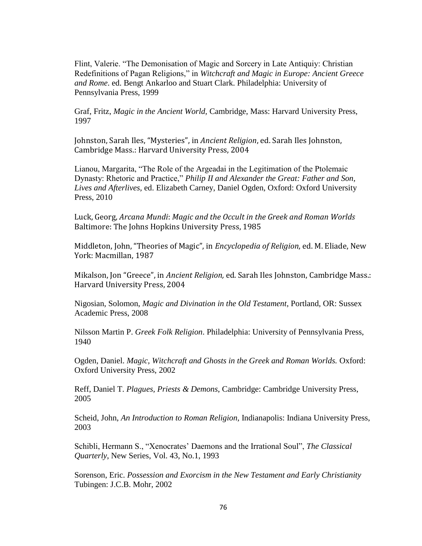Flint, Valerie. "The Demonisation of Magic and Sorcery in Late Antiquiy: Christian Redefinitions of Pagan Religions," in *Witchcraft and Magic in Europe: Ancient Greece and Rome*. ed. Bengt Ankarloo and Stuart Clark. Philadelphia: University of Pennsylvania Press, 1999

Graf, Fritz, *Magic in the Ancient World,* Cambridge, Mass: Harvard University Press, 1997

Johnston, Sarah Iles, "Mysteries", in *Ancient Religion*, ed. Sarah Iles Johnston, Cambridge Mass.: Harvard University Press, 2004

Lianou, Margarita, "The Role of the Argeadai in the Legitimation of the Ptolemaic Dynasty: Rhetoric and Practice," *Philip II and Alexander the Great: Father and Son, Lives and Afterlives,* ed. Elizabeth Carney, Daniel Ogden, Oxford: Oxford University Press, 2010

Luck, Georg, *Arcana Mundi*: *Magic and the Occult in the Greek and Roman Worlds* Baltimore: The Johns Hopkins University Press, 1985

Middleton, John, "Theories of Magic", in *Encyclopedia of Religion*, ed. M. Eliade, New York: Macmillan, 1987

Mikalson, Jon "Greece", in *Ancient Religion,* ed. Sarah Iles Johnston, Cambridge Mass.: Harvard University Press, 2004

Nigosian, Solomon, *Magic and Divination in the Old Testament*, Portland, OR: Sussex Academic Press, 2008

Nilsson Martin P. *Greek Folk Religion*. Philadelphia: University of Pennsylvania Press, 1940

Ogden, Daniel. *Magic, Witchcraft and Ghosts in the Greek and Roman Worlds.* Oxford: Oxford University Press, 2002

Reff, Daniel T. *Plagues, Priests & Demons*, Cambridge: Cambridge University Press, 2005

Scheid, John, *An Introduction to Roman Religion,* Indianapolis: Indiana University Press, 2003

Schibli, Hermann S., "Xenocrates' Daemons and the Irrational Soul", *The Classical Quarterly*, New Series, Vol. 43, No.1, 1993

Sorenson, Eric. *Possession and Exorcism in the New Testament and Early Christianity* Tubingen: J.C.B. Mohr, 2002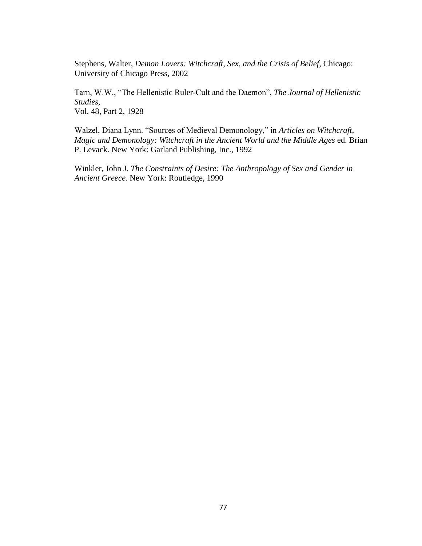Stephens, Walter, *Demon Lovers: Witchcraft, Sex, and the Crisis of Belief,* Chicago: University of Chicago Press, 2002

Tarn, W.W., "The Hellenistic Ruler-Cult and the Daemon", *The Journal of Hellenistic Studies,*  Vol. 48, Part 2, 1928

Walzel, Diana Lynn. "Sources of Medieval Demonology," in *Articles on Witchcraft, Magic and Demonology: Witchcraft in the Ancient World and the Middle Ages* ed. Brian P. Levack. New York: Garland Publishing, Inc., 1992

Winkler, John J. *The Constraints of Desire: The Anthropology of Sex and Gender in Ancient Greece.* New York: Routledge, 1990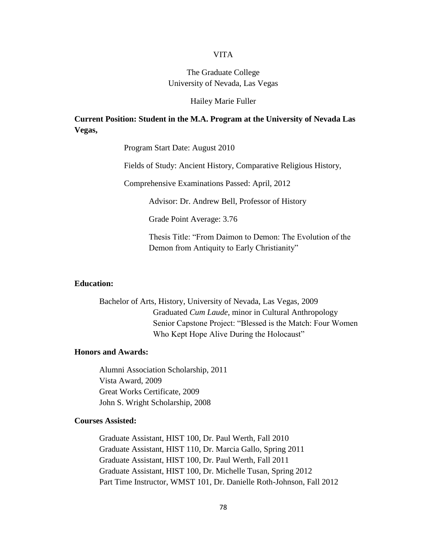### VITA

# The Graduate College University of Nevada, Las Vegas

#### Hailey Marie Fuller

## **Current Position: Student in the M.A. Program at the University of Nevada Las Vegas,**

Program Start Date: August 2010

Fields of Study: Ancient History, Comparative Religious History,

Comprehensive Examinations Passed: April, 2012

Advisor: Dr. Andrew Bell, Professor of History

Grade Point Average: 3.76

Thesis Title: "From Daimon to Demon: The Evolution of the Demon from Antiquity to Early Christianity"

### **Education:**

Bachelor of Arts, History, University of Nevada, Las Vegas, 2009 Graduated *Cum Laude*, minor in Cultural Anthropology Senior Capstone Project: "Blessed is the Match: Four Women Who Kept Hope Alive During the Holocaust"

## **Honors and Awards:**

Alumni Association Scholarship, 2011 Vista Award, 2009 Great Works Certificate, 2009 John S. Wright Scholarship, 2008

## **Courses Assisted:**

Graduate Assistant, HIST 100, Dr. Paul Werth, Fall 2010 Graduate Assistant, HIST 110, Dr. Marcia Gallo, Spring 2011 Graduate Assistant, HIST 100, Dr. Paul Werth, Fall 2011 Graduate Assistant, HIST 100, Dr. Michelle Tusan, Spring 2012 Part Time Instructor, WMST 101, Dr. Danielle Roth-Johnson, Fall 2012